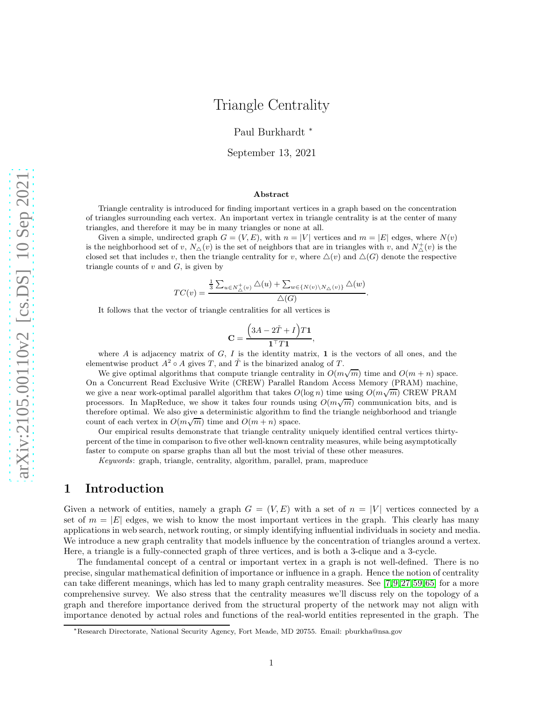# Triangle Centrality

Paul Burkhardt <sup>∗</sup>

September 13, 2021

#### Abstract

Triangle centrality is introduced for finding important vertices in a graph based on the concentration of triangles surrounding each vertex. An important vertex in triangle centrality is at the center of many triangles, and therefore it may be in many triangles or none at all.

Given a simple, undirected graph  $G = (V, E)$ , with  $n = |V|$  vertices and  $m = |E|$  edges, where  $N(v)$ is the neighborhood set of v,  $N_{\Delta}(v)$  is the set of neighbors that are in triangles with v, and  $N_{\Delta}^+(v)$  is the closed set that includes v, then the triangle centrality for v, where  $\Delta(v)$  and  $\Delta(G)$  denote the respective triangle counts of  $v$  and  $G$ , is given by

$$
TC(v) = \frac{\frac{1}{3} \sum_{u \in N_{\triangle}^+(v)} \triangle(u) + \sum_{w \in \{N(v) \setminus N_{\triangle}(v)\}} \triangle(w)}{\triangle(G)}.
$$

It follows that the vector of triangle centralities for all vertices is

$$
\mathbf{C} = \frac{\left(3A - 2\check{T} + I\right)T\mathbf{1}}{\mathbf{1}^\top T\mathbf{1}},
$$

where A is adjacency matrix of  $G$ , I is the identity matrix, 1 is the vectors of all ones, and the elementwise product  $A^2 \circ A$  gives T, and  $\check{T}$  is the binarized analog of T.

We give optimal algorithms that compute triangle centrality in  $O(m\sqrt{m})$  time and  $O(m+n)$  space. On a Concurrent Read Exclusive Write (CREW) Parallel Random Access Memory (PRAM) machine, we give a near work-optimal parallel algorithm that takes  $O(\log n)$  time using  $O(m\sqrt{m})$  CREW PRAM processors. In MapReduce, we show it takes four rounds using  $O(m\sqrt{m})$  communication bits, and is therefore optimal. We also give a deterministic algorithm to find the triangle neighborhood and triangle count of each vertex in  $O(m\sqrt{m})$  time and  $O(m+n)$  space.

Our empirical results demonstrate that triangle centrality uniquely identified central vertices thirtypercent of the time in comparison to five other well-known centrality measures, while being asymptotically faster to compute on sparse graphs than all but the most trivial of these other measures.

Keywords: graph, triangle, centrality, algorithm, parallel, pram, mapreduce

## 1 Introduction

Given a network of entities, namely a graph  $G = (V, E)$  with a set of  $n = |V|$  vertices connected by a set of  $m = |E|$  edges, we wish to know the most important vertices in the graph. This clearly has many applications in web search, network routing, or simply identifying influential individuals in society and media. We introduce a new graph centrality that models influence by the concentration of triangles around a vertex. Here, a triangle is a fully-connected graph of three vertices, and is both a 3-clique and a 3-cycle.

The fundamental concept of a central or important vertex in a graph is not well-defined. There is no precise, singular mathematical definition of importance or influence in a graph. Hence the notion of centrality can take different meanings, which has led to many graph centrality measures. See [\[7,](#page-32-0)[9,](#page-32-1)[27,](#page-33-0)[59,](#page-35-0)[65\]](#page-35-1) for a more comprehensive survey. We also stress that the centrality measures we'll discuss rely on the topology of a graph and therefore importance derived from the structural property of the network may not align with importance denoted by actual roles and functions of the real-world entities represented in the graph. The

<sup>∗</sup>Research Directorate, National Security Agency, Fort Meade, MD 20755. Email: pburkha@nsa.gov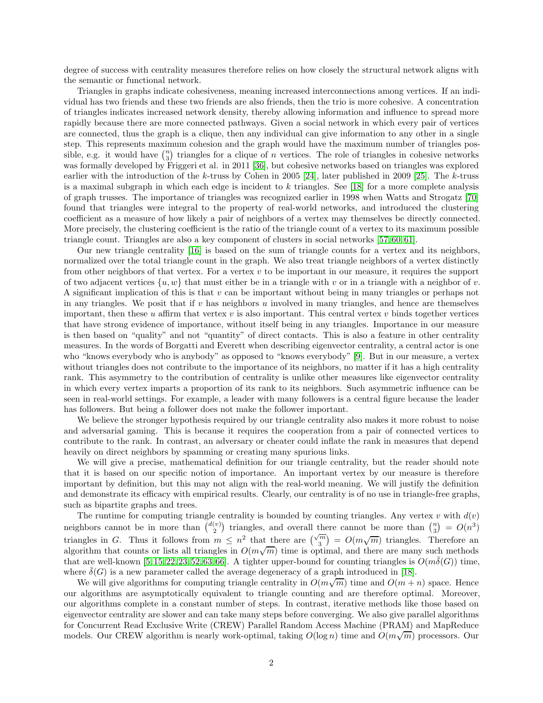degree of success with centrality measures therefore relies on how closely the structural network aligns with the semantic or functional network.

Triangles in graphs indicate cohesiveness, meaning increased interconnections among vertices. If an individual has two friends and these two friends are also friends, then the trio is more cohesive. A concentration of triangles indicates increased network density, thereby allowing information and influence to spread more rapidly because there are more connected pathways. Given a social network in which every pair of vertices are connected, thus the graph is a clique, then any individual can give information to any other in a single step. This represents maximum cohesion and the graph would have the maximum number of triangles possible, e.g. it would have  $\binom{n}{3}$  triangles for a clique of n vertices. The role of triangles in cohesive networks was formally developed by Friggeri et al. in 2011 [\[36\]](#page-33-1), but cohesive networks based on triangles was explored earlier with the introduction of the k-truss by Cohen in 2005 [\[24\]](#page-33-2), later published in 2009 [\[25\]](#page-33-3). The k-truss is a maximal subgraph in which each edge is incident to k triangles. See [\[18\]](#page-32-2) for a more complete analysis of graph trusses. The importance of triangles was recognized earlier in 1998 when Watts and Strogatz [\[70\]](#page-35-2) found that triangles were integral to the property of real-world networks, and introduced the clustering coefficient as a measure of how likely a pair of neighbors of a vertex may themselves be directly connected. More precisely, the clustering coefficient is the ratio of the triangle count of a vertex to its maximum possible triangle count. Triangles are also a key component of clusters in social networks [\[57,](#page-34-0) [60,](#page-35-3) [61\]](#page-35-4).

Our new triangle centrality [\[16\]](#page-32-3) is based on the sum of triangle counts for a vertex and its neighbors, normalized over the total triangle count in the graph. We also treat triangle neighbors of a vertex distinctly from other neighbors of that vertex. For a vertex  $v$  to be important in our measure, it requires the support of two adjacent vertices  $\{u, w\}$  that must either be in a triangle with v or in a triangle with a neighbor of v. A significant implication of this is that  $v$  can be important without being in many triangles or perhaps not in any triangles. We posit that if v has neighbors u involved in many triangles, and hence are themselves important, then these u affirm that vertex v is also important. This central vertex v binds together vertices that have strong evidence of importance, without itself being in any triangles. Importance in our measure is then based on "quality" and not "quantity" of direct contacts. This is also a feature in other centrality measures. In the words of Borgatti and Everett when describing eigenvector centrality, a central actor is one who "knows everybody who is anybody" as opposed to "knows everybody" [\[9\]](#page-32-1). But in our measure, a vertex without triangles does not contribute to the importance of its neighbors, no matter if it has a high centrality rank. This asymmetry to the contribution of centrality is unlike other measures like eigenvector centrality in which every vertex imparts a proportion of its rank to its neighbors. Such asymmetric influence can be seen in real-world settings. For example, a leader with many followers is a central figure because the leader has followers. But being a follower does not make the follower important.

We believe the stronger hypothesis required by our triangle centrality also makes it more robust to noise and adversarial gaming. This is because it requires the cooperation from a pair of connected vertices to contribute to the rank. In contrast, an adversary or cheater could inflate the rank in measures that depend heavily on direct neighbors by spamming or creating many spurious links.

We will give a precise, mathematical definition for our triangle centrality, but the reader should note that it is based on our specific notion of importance. An important vertex by our measure is therefore important by definition, but this may not align with the real-world meaning. We will justify the definition and demonstrate its efficacy with empirical results. Clearly, our centrality is of no use in triangle-free graphs, such as bipartite graphs and trees.

The runtime for computing triangle centrality is bounded by counting triangles. Any vertex v with  $d(v)$ neighbors cannot be in more than  $\binom{d(v)}{2}$  triangles, and overall there cannot be more than  $\binom{n}{3} = O(n^3)$ triangles in G. Thus it follows from  $m \leq n^2$  that there are  $\left(\sqrt{\frac{m}{3}}\right) = O(m\sqrt{m})$  triangles. Therefore an algorithm that counts or lists all triangles in  $O(m\sqrt{m})$  time is optimal, and there are many such methods that are well-known [\[5,](#page-32-4) [15,](#page-32-5) [22,](#page-33-4) [23,](#page-33-5) [52,](#page-34-1) [63,](#page-35-5) [66\]](#page-35-6). A tighter upper-bound for counting triangles is  $O(m\delta(G))$  time, where  $\delta(G)$  is a new parameter called the average degeneracy of a graph introduced in [\[18\]](#page-32-2).

We will give algorithms for computing triangle centrality in  $O(m\sqrt{m})$  time and  $O(m+n)$  space. Hence our algorithms are asymptotically equivalent to triangle counting and are therefore optimal. Moreover, our algorithms complete in a constant number of steps. In contrast, iterative methods like those based on eigenvector centrality are slower and can take many steps before converging. We also give parallel algorithms for Concurrent Read Exclusive Write (CREW) Parallel Random Access Machine (PRAM) and MapReduce models. Our CREW algorithm is nearly work-optimal, taking  $O(\log n)$  time and  $O(m\sqrt{m})$  processors. Our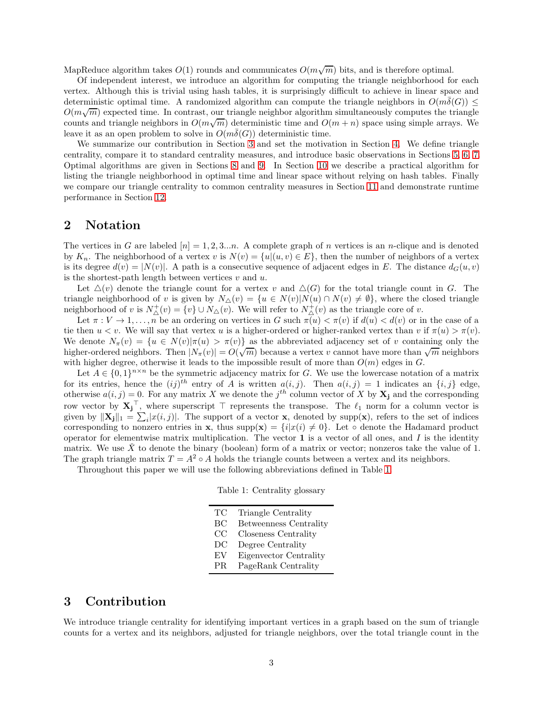MapReduce algorithm takes  $O(1)$  rounds and communicates  $O(m\sqrt{m})$  bits, and is therefore optimal.

Of independent interest, we introduce an algorithm for computing the triangle neighborhood for each vertex. Although this is trivial using hash tables, it is surprisingly difficult to achieve in linear space and deterministic optimal time. A randomized algorithm can compute the triangle neighbors in  $O(m\delta(G)) \leq$  $O(m\sqrt{m})$  expected time. In contrast, our triangle neighbor algorithm simultaneously computes the triangle counts and triangle neighbors in  $O(m\sqrt{m})$  deterministic time and  $O(m+n)$  space using simple arrays. We leave it as an open problem to solve in  $O(m\overline{\delta}(G))$  deterministic time.

We summarize our contribution in Section [3](#page-2-0) and set the motivation in Section [4.](#page-4-0) We define triangle centrality, compare it to standard centrality measures, and introduce basic observations in Sections [5,](#page-5-0) [6,](#page-7-0) [7.](#page-9-0) Optimal algorithms are given in Sections [8](#page-12-0) and [9.](#page-16-0) In Section [10](#page-20-0) we describe a practical algorithm for listing the triangle neighborhood in optimal time and linear space without relying on hash tables. Finally we compare our triangle centrality to common centrality measures in Section [11](#page-25-0) and demonstrate runtime performance in Section [12.](#page-31-0)

## 2 Notation

The vertices in G are labeled  $[n] = 1, 2, 3...n$ . A complete graph of n vertices is an n-clique and is denoted by  $K_n$ . The neighborhood of a vertex v is  $N(v) = \{u|(u, v) \in E\}$ , then the number of neighbors of a vertex is its degree  $d(v) = |N(v)|$ . A path is a consecutive sequence of adjacent edges in E. The distance  $d_G(u, v)$ is the shortest-path length between vertices  $v$  and  $u$ .

Let  $\Delta(v)$  denote the triangle count for a vertex v and  $\Delta(G)$  for the total triangle count in G. The triangle neighborhood of v is given by  $N_{\Delta}(v) = \{u \in N(v)|N(u) \cap N(v) \neq \emptyset\}$ , where the closed triangle neighborhood of v is  $N^+_{\Delta}(v) = \{v\} \cup N_{\Delta}(v)$ . We will refer to  $N^+_{\Delta}(v)$  as the triangle core of v.

Let  $\pi: V \to 1, \ldots, n$  be an ordering on vertices in G such  $\pi(u) < \pi(v)$  if  $d(u) < d(v)$  or in the case of a tie then  $u < v$ . We will say that vertex u is a higher-ordered or higher-ranked vertex than v if  $\pi(u) > \pi(v)$ . We denote  $N_{\pi}(v) = \{u \in N(v)|\pi(u) > \pi(v)\}\$  as the abbreviated adjacency set of v containing only the higher-ordered neighbors. Then  $|N_{\pi}(v)| = O(\sqrt{m})$  because a vertex v cannot have more than  $\sqrt{m}$  neighbors with higher degree, otherwise it leads to the impossible result of more than  $O(m)$  edges in G.

Let  $A \in \{0,1\}^{n \times n}$  be the symmetric adjacency matrix for G. We use the lowercase notation of a matrix for its entries, hence the  $(ij)^{th}$  entry of A is written  $a(i, j)$ . Then  $a(i, j) = 1$  indicates an  $\{i, j\}$  edge, otherwise  $a(i, j) = 0$ . For any matrix X we denote the  $j<sup>th</sup>$  column vector of X by  $X_j$  and the corresponding row vector by  $X_j$ , where superscript ⊤ represents the transpose. The  $\ell_1$  norm for a column vector is given by  $\|\mathbf{X}_{j}\|_{1} = \sum_{i} |x(i, j)|$ . The support of a vector **x**, denoted by supp(**x**), refers to the set of indices corresponding to nonzero entries in x, thus supp(x) =  $\{i|x(i) \neq 0\}$ . Let  $\circ$  denote the Hadamard product operator for elementwise matrix multiplication. The vector  $\bf{1}$  is a vector of all ones, and I is the identity matrix. We use  $\check{X}$  to denote the binary (boolean) form of a matrix or vector; nonzeros take the value of 1. The graph triangle matrix  $T = A^2 \circ A$  holds the triangle counts between a vertex and its neighbors.

<span id="page-2-1"></span>Throughout this paper we will use the following abbreviations defined in Table [1.](#page-2-1)

|  | Table 1: Centrality glossary |  |
|--|------------------------------|--|
|--|------------------------------|--|

| TС                         | Triangle Centrality           |
|----------------------------|-------------------------------|
| BC                         | <b>Betweenness Centrality</b> |
| CC                         | Closeness Centrality          |
| DC                         | Degree Centrality             |
| $\mathop{\rm EV}\nolimits$ | Eigenvector Centrality        |
| PR.                        | PageRank Centrality           |

## <span id="page-2-0"></span>3 Contribution

We introduce triangle centrality for identifying important vertices in a graph based on the sum of triangle counts for a vertex and its neighbors, adjusted for triangle neighbors, over the total triangle count in the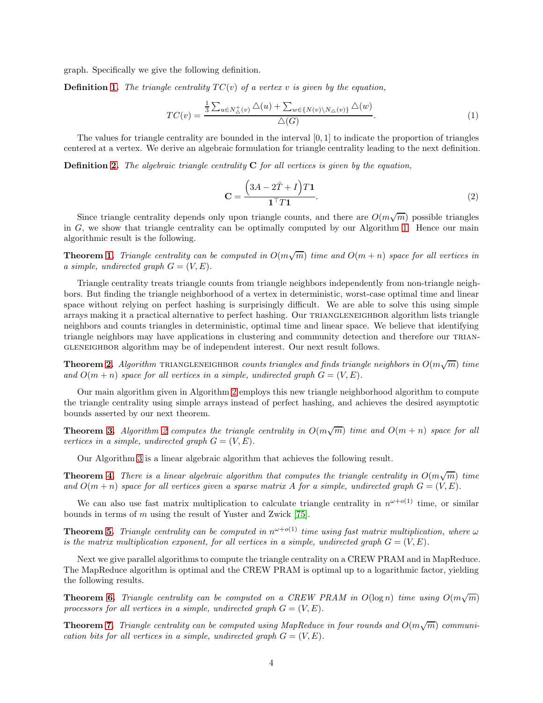graph. Specifically we give the following definition.

**Definition [1.](#page-5-1)** The triangle centrality  $TC(v)$  of a vertex v is given by the equation,

$$
TC(v) = \frac{\frac{1}{3} \sum_{u \in N_{\Delta}^{+}(v)} \Delta(u) + \sum_{w \in \{N(v) \setminus N_{\Delta}(v)\}} \Delta(w)}{\Delta(G)}.
$$
\n(1)

The values for triangle centrality are bounded in the interval [0, 1] to indicate the proportion of triangles centered at a vertex. We derive an algebraic formulation for triangle centrality leading to the next definition.

**Definition [2.](#page-7-1)** The algebraic triangle centrality  $C$  for all vertices is given by the equation,

$$
\mathbf{C} = \frac{\left(3A - 2\check{T} + I\right)T\mathbf{1}}{\mathbf{1}^\top T\mathbf{1}}.\tag{2}
$$

Since triangle centrality depends only upon triangle counts, and there are  $O(m\sqrt{m})$  possible triangles in  $G$ , we show that triangle centrality can be optimally computed by our Algorithm [1.](#page-23-0) Hence our main algorithmic result is the following.

**Theorem [1.](#page-13-0)** Triangle centrality can be computed in  $O(m\sqrt{m})$  time and  $O(m + n)$  space for all vertices in a simple, undirected graph  $G = (V, E)$ .

Triangle centrality treats triangle counts from triangle neighbors independently from non-triangle neighbors. But finding the triangle neighborhood of a vertex in deterministic, worst-case optimal time and linear space without relying on perfect hashing is surprisingly difficult. We are able to solve this using simple arrays making it a practical alternative to perfect hashing. Our TRIANGLENEIGHBOR algorithm lists triangle neighbors and counts triangles in deterministic, optimal time and linear space. We believe that identifying triangle neighbors may have applications in clustering and community detection and therefore our triangleneighbor algorithm may be of independent interest. Our next result follows.

**Theorem [2.](#page-14-0)** Algorithm TRIANGLENEIGHBOR counts triangles and finds triangle neighbors in  $O(m\sqrt{m})$  time and  $O(m + n)$  space for all vertices in a simple, undirected graph  $G = (V, E)$ .

Our main algorithm given in Algorithm [2](#page-36-0) employs this new triangle neighborhood algorithm to compute the triangle centrality using simple arrays instead of perfect hashing, and achieves the desired asymptotic bounds asserted by our next theorem.

**Theorem [3.](#page-14-1)** Algorithm [2](#page-36-0) computes the triangle centrality in  $O(m\sqrt{m})$  time and  $O(m + n)$  space for all vertices in a simple, undirected graph  $G = (V, E)$ .

Our Algorithm [3](#page-21-0) is a linear algebraic algorithm that achieves the following result.

**Theorem [4.](#page-15-0)** There is a linear algebraic algorithm that computes the triangle centrality in  $O(m\sqrt{m})$  time and  $O(m + n)$  space for all vertices given a sparse matrix A for a simple, undirected graph  $G = (V, E)$ .

We can also use fast matrix multiplication to calculate triangle centrality in  $n^{\omega+o(1)}$  time, or similar bounds in terms of m using the result of Yuster and Zwick [\[75\]](#page-35-7).

**Theorem [5.](#page-16-1)** Triangle centrality can be computed in  $n^{\omega+o(1)}$  time using fast matrix multiplication, where  $\omega$ is the matrix multiplication exponent, for all vertices in a simple, undirected graph  $G = (V, E)$ .

Next we give parallel algorithms to compute the triangle centrality on a CREW PRAM and in MapReduce. The MapReduce algorithm is optimal and the CREW PRAM is optimal up to a logarithmic factor, yielding the following results.

**Theorem [6.](#page-17-0)** Triangle centrality can be computed on a CREW PRAM in  $O(\log n)$  time using  $O(m\sqrt{m})$ processors for all vertices in a simple, undirected graph  $G = (V, E)$ .

**Theorem [7.](#page-19-0)** Triangle centrality can be computed using MapReduce in four rounds and  $O(m\sqrt{m})$  communication bits for all vertices in a simple, undirected graph  $G = (V, E)$ .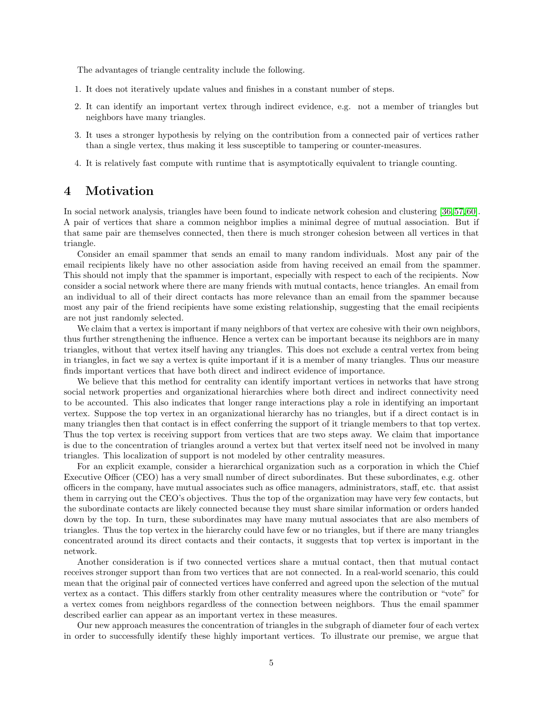The advantages of triangle centrality include the following.

- 1. It does not iteratively update values and finishes in a constant number of steps.
- 2. It can identify an important vertex through indirect evidence, e.g. not a member of triangles but neighbors have many triangles.
- 3. It uses a stronger hypothesis by relying on the contribution from a connected pair of vertices rather than a single vertex, thus making it less susceptible to tampering or counter-measures.
- 4. It is relatively fast compute with runtime that is asymptotically equivalent to triangle counting.

## <span id="page-4-0"></span>4 Motivation

In social network analysis, triangles have been found to indicate network cohesion and clustering [\[36,](#page-33-1) [57,](#page-34-0) [60\]](#page-35-3). A pair of vertices that share a common neighbor implies a minimal degree of mutual association. But if that same pair are themselves connected, then there is much stronger cohesion between all vertices in that triangle.

Consider an email spammer that sends an email to many random individuals. Most any pair of the email recipients likely have no other association aside from having received an email from the spammer. This should not imply that the spammer is important, especially with respect to each of the recipients. Now consider a social network where there are many friends with mutual contacts, hence triangles. An email from an individual to all of their direct contacts has more relevance than an email from the spammer because most any pair of the friend recipients have some existing relationship, suggesting that the email recipients are not just randomly selected.

We claim that a vertex is important if many neighbors of that vertex are cohesive with their own neighbors, thus further strengthening the influence. Hence a vertex can be important because its neighbors are in many triangles, without that vertex itself having any triangles. This does not exclude a central vertex from being in triangles, in fact we say a vertex is quite important if it is a member of many triangles. Thus our measure finds important vertices that have both direct and indirect evidence of importance.

We believe that this method for centrality can identify important vertices in networks that have strong social network properties and organizational hierarchies where both direct and indirect connectivity need to be accounted. This also indicates that longer range interactions play a role in identifying an important vertex. Suppose the top vertex in an organizational hierarchy has no triangles, but if a direct contact is in many triangles then that contact is in effect conferring the support of it triangle members to that top vertex. Thus the top vertex is receiving support from vertices that are two steps away. We claim that importance is due to the concentration of triangles around a vertex but that vertex itself need not be involved in many triangles. This localization of support is not modeled by other centrality measures.

For an explicit example, consider a hierarchical organization such as a corporation in which the Chief Executive Officer (CEO) has a very small number of direct subordinates. But these subordinates, e.g. other officers in the company, have mutual associates such as office managers, administrators, staff, etc. that assist them in carrying out the CEO's objectives. Thus the top of the organization may have very few contacts, but the subordinate contacts are likely connected because they must share similar information or orders handed down by the top. In turn, these subordinates may have many mutual associates that are also members of triangles. Thus the top vertex in the hierarchy could have few or no triangles, but if there are many triangles concentrated around its direct contacts and their contacts, it suggests that top vertex is important in the network.

Another consideration is if two connected vertices share a mutual contact, then that mutual contact receives stronger support than from two vertices that are not connected. In a real-world scenario, this could mean that the original pair of connected vertices have conferred and agreed upon the selection of the mutual vertex as a contact. This differs starkly from other centrality measures where the contribution or "vote" for a vertex comes from neighbors regardless of the connection between neighbors. Thus the email spammer described earlier can appear as an important vertex in these measures.

Our new approach measures the concentration of triangles in the subgraph of diameter four of each vertex in order to successfully identify these highly important vertices. To illustrate our premise, we argue that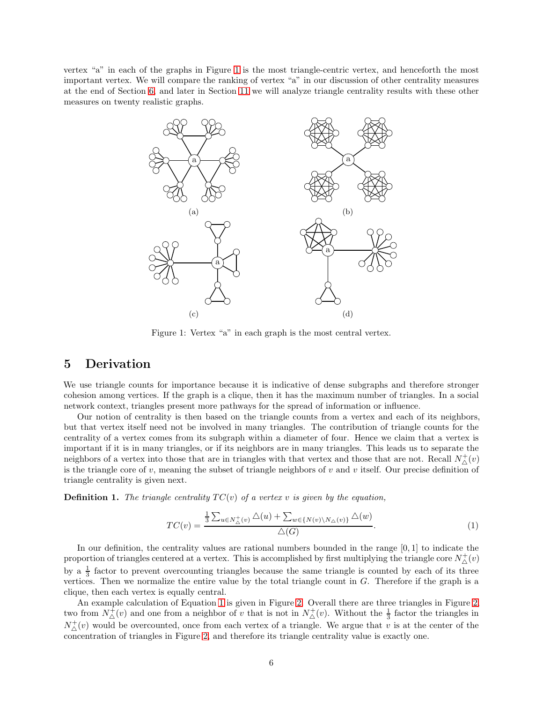<span id="page-5-2"></span>vertex "a" in each of the graphs in Figure [1](#page-5-2) is the most triangle-centric vertex, and henceforth the most important vertex. We will compare the ranking of vertex "a" in our discussion of other centrality measures at the end of Section [6,](#page-7-0) and later in Section [11](#page-25-0) we will analyze triangle centrality results with these other measures on twenty realistic graphs.



Figure 1: Vertex "a" in each graph is the most central vertex.

## <span id="page-5-0"></span>5 Derivation

We use triangle counts for importance because it is indicative of dense subgraphs and therefore stronger cohesion among vertices. If the graph is a clique, then it has the maximum number of triangles. In a social network context, triangles present more pathways for the spread of information or influence.

Our notion of centrality is then based on the triangle counts from a vertex and each of its neighbors, but that vertex itself need not be involved in many triangles. The contribution of triangle counts for the centrality of a vertex comes from its subgraph within a diameter of four. Hence we claim that a vertex is important if it is in many triangles, or if its neighbors are in many triangles. This leads us to separate the neighbors of a vertex into those that are in triangles with that vertex and those that are not. Recall  $N^+_{\Delta}(v)$ is the triangle core of  $v$ , meaning the subset of triangle neighbors of  $v$  and  $v$  itself. Our precise definition of triangle centrality is given next.

<span id="page-5-1"></span>**Definition 1.** The triangle centrality  $TC(v)$  of a vertex v is given by the equation,

<span id="page-5-3"></span>
$$
TC(v) = \frac{\frac{1}{3} \sum_{u \in N_{\triangle}^+(v)} \triangle(u) + \sum_{w \in \{N(v) \setminus N_{\triangle}(v)\}} \triangle(w)}{\triangle(G)}.
$$
\n(1)

In our definition, the centrality values are rational numbers bounded in the range [0, 1] to indicate the proportion of triangles centered at a vertex. This is accomplished by first multiplying the triangle core  $N^+_\Delta(v)$ by a  $\frac{1}{3}$  factor to prevent overcounting triangles because the same triangle is counted by each of its three vertices. Then we normalize the entire value by the total triangle count in  $G$ . Therefore if the graph is a clique, then each vertex is equally central.

An example calculation of Equation [1](#page-5-3) is given in Figure [2.](#page-6-0) Overall there are three triangles in Figure [2,](#page-6-0) two from  $N^{\pm}_{\Delta}(v)$  and one from a neighbor of v that is not in  $N^{\pm}_{\Delta}(v)$ . Without the  $\frac{1}{3}$  factor the triangles in  $N^+_{\Delta}(v)$  would be overcounted, once from each vertex of a triangle. We argue that v is at the center of the concentration of triangles in Figure [2,](#page-6-0) and therefore its triangle centrality value is exactly one.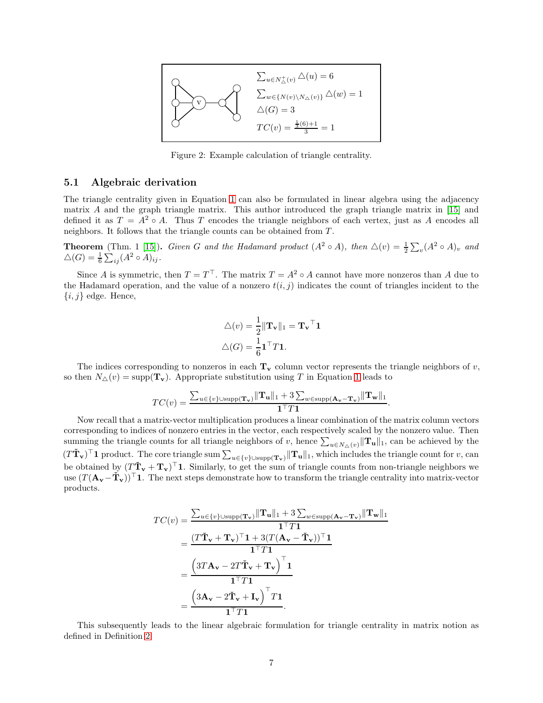<span id="page-6-0"></span>

Figure 2: Example calculation of triangle centrality.

#### 5.1 Algebraic derivation

The triangle centrality given in Equation [1](#page-5-3) can also be formulated in linear algebra using the adjacency matrix  $A$  and the graph triangle matrix. This author introduced the graph triangle matrix in [\[15\]](#page-32-5) and defined it as  $T = A^2 \circ A$ . Thus T encodes the triangle neighbors of each vertex, just as A encodes all neighbors. It follows that the triangle counts can be obtained from T.

**Theorem** (Thm. 1 [\[15\]](#page-32-5)). Given G and the Hadamard product  $(A^2 \circ A)$ , then  $\triangle(v) = \frac{1}{2} \sum_{v} (A^2 \circ A)_v$  and  $\triangle(G) = \frac{1}{6} \sum_{ij} (A^2 \circ A)_{ij}.$ 

Since A is symmetric, then  $T = T^{\top}$ . The matrix  $T = A^2 \circ A$  cannot have more nonzeros than A due to the Hadamard operation, and the value of a nonzero  $t(i, j)$  indicates the count of triangles incident to the  $\{i, j\}$  edge. Hence,

$$
\triangle(v) = \frac{1}{2} ||\mathbf{T}_{\mathbf{v}}||_1 = \mathbf{T}_{\mathbf{v}}^\top \mathbf{1}
$$

$$
\triangle(G) = \frac{1}{6} \mathbf{1}^\top T \mathbf{1}.
$$

The indices corresponding to nonzeros in each  $T_v$  column vector represents the triangle neighbors of v, so then  $N_{\Delta}(v) = \text{supp}(\mathbf{T}_v)$ . Appropriate substitution using T in Equation [1](#page-5-3) leads to

$$
TC(v) = \frac{\sum_{u \in \{v\} \cup \text{supp}(\mathbf{T}_v)} ||\mathbf{T}_u||_1 + 3 \sum_{w \in \text{supp}(\mathbf{A}_v - \mathbf{T}_v)} ||\mathbf{T}_w||_1}{\mathbf{1}^\top T \mathbf{1}}.
$$

Now recall that a matrix-vector multiplication produces a linear combination of the matrix column vectors corresponding to indices of nonzero entries in the vector, each respectively scaled by the nonzero value. Then summing the triangle counts for all triangle neighbors of v, hence  $\sum_{u \in N_{\triangle}(v)} ||{\bf T_u}||_1$ , can be achieved by the  $(T\tilde{\mathbf{T}}_{\mathbf{v}})^{\top}$  1 product. The core triangle sum  $\sum_{u \in \{v\} \cup \text{supp}(\mathbf{T}_{\mathbf{v}})} ||\mathbf{T}_{\mathbf{u}}||_1$ , which includes the triangle count for v, can be obtained by  $(T\tilde{\mathbf{T}}_{\mathbf{v}}+\mathbf{T}_{\mathbf{v}})^{\top}$ 1. Similarly, to get the sum of triangle counts from non-triangle neighbors we use  $(T(\mathbf{A}_{\mathbf{v}}-\tilde{\mathbf{T}}_{\mathbf{v}}))^{\top}$  1. The next steps demonstrate how to transform the triangle centrality into matrix-vector products.

$$
TC(v) = \frac{\sum_{u \in \{v\} \cup \text{supp}(\mathbf{T}_v)} ||\mathbf{T}_u||_1 + 3 \sum_{w \in \text{supp}(\mathbf{A}_v - \mathbf{T}_v)} ||\mathbf{T}_w||_1}{\mathbf{1}^\top T \mathbf{1}}
$$
  
= 
$$
\frac{(T\check{\mathbf{T}}_v + \mathbf{T}_v)^\top \mathbf{1} + 3(T(\mathbf{A}_v - \check{\mathbf{T}}_v))^\top \mathbf{1}}{\mathbf{1}^\top T \mathbf{1}}
$$
  
= 
$$
\frac{(3T\mathbf{A}_v - 2T\check{\mathbf{T}}_v + \mathbf{T}_v)^\top \mathbf{1}}{\mathbf{1}^\top T \mathbf{1}}
$$
  
= 
$$
\frac{(3\mathbf{A}_v - 2\check{\mathbf{T}}_v + \mathbf{I}_v)^\top T \mathbf{1}}{\mathbf{1}^\top T \mathbf{1}}.
$$

This subsequently leads to the linear algebraic formulation for triangle centrality in matrix notion as defined in Definition [2.](#page-7-1)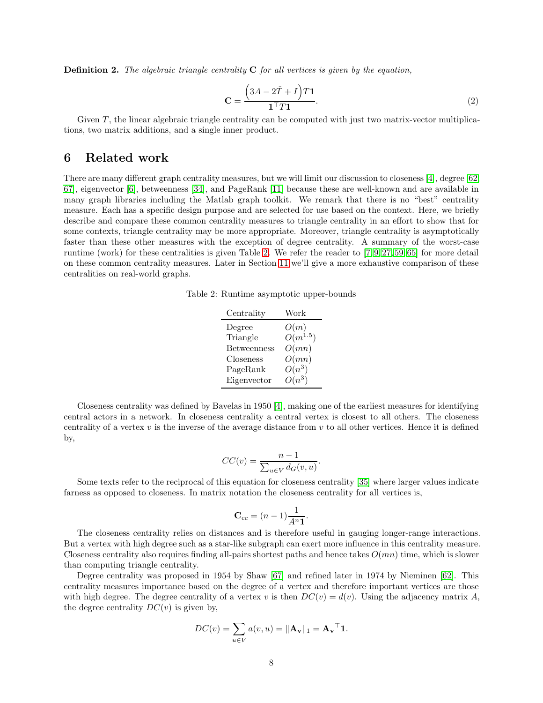<span id="page-7-1"></span>**Definition 2.** The algebraic triangle centrality  $C$  for all vertices is given by the equation,

<span id="page-7-3"></span>
$$
\mathbf{C} = \frac{\left(3A - 2\check{T} + I\right)T\mathbf{1}}{\mathbf{1}^\top T\mathbf{1}}.\tag{2}
$$

Given  $T$ , the linear algebraic triangle centrality can be computed with just two matrix-vector multiplications, two matrix additions, and a single inner product.

## <span id="page-7-0"></span>6 Related work

<span id="page-7-2"></span>There are many different graph centrality measures, but we will limit our discussion to closeness [\[4\]](#page-32-6), degree [\[62,](#page-35-8) [67\]](#page-35-9), eigenvector [\[6\]](#page-32-7), betweenness [\[34\]](#page-33-6), and PageRank [\[11\]](#page-32-8) because these are well-known and are available in many graph libraries including the Matlab graph toolkit. We remark that there is no "best" centrality measure. Each has a specific design purpose and are selected for use based on the context. Here, we briefly describe and compare these common centrality measures to triangle centrality in an effort to show that for some contexts, triangle centrality may be more appropriate. Moreover, triangle centrality is asymptotically faster than these other measures with the exception of degree centrality. A summary of the worst-case runtime (work) for these centralities is given Table [2.](#page-7-2) We refer the reader to  $[7, 9, 27, 59, 65]$  $[7, 9, 27, 59, 65]$  $[7, 9, 27, 59, 65]$  $[7, 9, 27, 59, 65]$  $[7, 9, 27, 59, 65]$  for more detail on these common centrality measures. Later in Section [11](#page-25-0) we'll give a more exhaustive comparison of these centralities on real-world graphs.

Table 2: Runtime asymptotic upper-bounds

| Work         |
|--------------|
| O(m)         |
| $O(m^{1.5})$ |
| O(mn)        |
| O(mn)        |
| $O(n^3)$     |
| $O(n^3)$     |
|              |

Closeness centrality was defined by Bavelas in 1950 [\[4\]](#page-32-6), making one of the earliest measures for identifying central actors in a network. In closeness centrality a central vertex is closest to all others. The closeness centrality of a vertex  $v$  is the inverse of the average distance from  $v$  to all other vertices. Hence it is defined by,

$$
CC(v) = \frac{n-1}{\sum_{u \in V} d_G(v, u)}.
$$

Some texts refer to the reciprocal of this equation for closeness centrality [\[35\]](#page-33-7) where larger values indicate farness as opposed to closeness. In matrix notation the closeness centrality for all vertices is,

$$
\mathbf{C}_{cc} = (n-1)\frac{1}{A^n \mathbf{1}}.
$$

The closeness centrality relies on distances and is therefore useful in gauging longer-range interactions. But a vertex with high degree such as a star-like subgraph can exert more influence in this centrality measure. Closeness centrality also requires finding all-pairs shortest paths and hence takes  $O(mn)$  time, which is slower than computing triangle centrality.

Degree centrality was proposed in 1954 by Shaw [\[67\]](#page-35-9) and refined later in 1974 by Nieminen [\[62\]](#page-35-8). This centrality measures importance based on the degree of a vertex and therefore important vertices are those with high degree. The degree centrality of a vertex v is then  $DC(v) = d(v)$ . Using the adjacency matrix A, the degree centrality  $DC(v)$  is given by,

$$
DC(v) = \sum_{u \in V} a(v, u) = ||\mathbf{A}_{\mathbf{v}}||_1 = \mathbf{A}_{\mathbf{v}}^\top \mathbf{1}.
$$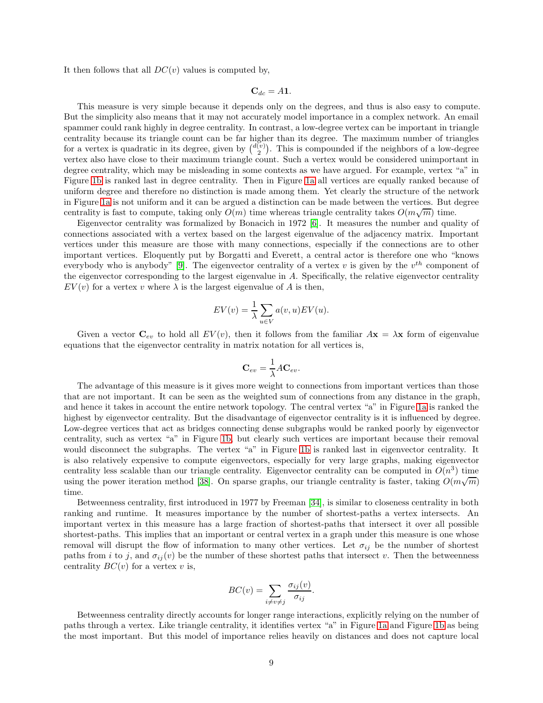It then follows that all  $DC(v)$  values is computed by,

 $C_{dc} = A1.$ 

This measure is very simple because it depends only on the degrees, and thus is also easy to compute. But the simplicity also means that it may not accurately model importance in a complex network. An email spammer could rank highly in degree centrality. In contrast, a low-degree vertex can be important in triangle centrality because its triangle count can be far higher than its degree. The maximum number of triangles for a vertex is quadratic in its degree, given by  $\binom{d(v)}{2}$ . This is compounded if the neighbors of a low-degree vertex also have close to their maximum triangle count. Such a vertex would be considered unimportant in degree centrality, which may be misleading in some contexts as we have argued. For example, vertex "a" in Figure [1b](#page-5-2) is ranked last in degree centrality. Then in Figure [1a](#page-5-2) all vertices are equally ranked because of uniform degree and therefore no distinction is made among them. Yet clearly the structure of the network in Figure [1a](#page-5-2) is not uniform and it can be argued a distinction can be made between the vertices. But degree centrality is fast to compute, taking only  $O(m)$  time whereas triangle centrality takes  $O(m\sqrt{m})$  time.

Eigenvector centrality was formalized by Bonacich in 1972 [\[6\]](#page-32-7). It measures the number and quality of connections associated with a vertex based on the largest eigenvalue of the adjacency matrix. Important vertices under this measure are those with many connections, especially if the connections are to other important vertices. Eloquently put by Borgatti and Everett, a central actor is therefore one who "knows everybody who is anybody" [\[9\]](#page-32-1). The eigenvector centrality of a vertex v is given by the  $v^{th}$  component of the eigenvector corresponding to the largest eigenvalue in A. Specifically, the relative eigenvector centrality  $EV(v)$  for a vertex v where  $\lambda$  is the largest eigenvalue of A is then,

$$
EV(v) = \frac{1}{\lambda} \sum_{u \in V} a(v, u) EV(u).
$$

Given a vector  $C_{ev}$  to hold all  $EV(v)$ , then it follows from the familiar  $A\mathbf{x} = \lambda \mathbf{x}$  form of eigenvalue equations that the eigenvector centrality in matrix notation for all vertices is,

$$
\mathbf{C}_{ev} = \frac{1}{\lambda} A \mathbf{C}_{ev}.
$$

The advantage of this measure is it gives more weight to connections from important vertices than those that are not important. It can be seen as the weighted sum of connections from any distance in the graph, and hence it takes in account the entire network topology. The central vertex "a" in Figure [1a](#page-5-2) is ranked the highest by eigenvector centrality. But the disadvantage of eigenvector centrality is it is influenced by degree. Low-degree vertices that act as bridges connecting dense subgraphs would be ranked poorly by eigenvector centrality, such as vertex "a" in Figure [1b,](#page-5-2) but clearly such vertices are important because their removal would disconnect the subgraphs. The vertex "a" in Figure [1b](#page-5-2) is ranked last in eigenvector centrality. It is also relatively expensive to compute eigenvectors, especially for very large graphs, making eigenvector centrality less scalable than our triangle centrality. Eigenvector centrality can be computed in  $O(n^3)$  time using the power iteration method [\[38\]](#page-33-8). On sparse graphs, our triangle centrality is faster, taking  $O(m\sqrt{m})$ time.

Betweenness centrality, first introduced in 1977 by Freeman [\[34\]](#page-33-6), is similar to closeness centrality in both ranking and runtime. It measures importance by the number of shortest-paths a vertex intersects. An important vertex in this measure has a large fraction of shortest-paths that intersect it over all possible shortest-paths. This implies that an important or central vertex in a graph under this measure is one whose removal will disrupt the flow of information to many other vertices. Let  $\sigma_{ij}$  be the number of shortest paths from i to j, and  $\sigma_{ij}(v)$  be the number of these shortest paths that intersect v. Then the betweenness centrality  $BC(v)$  for a vertex v is,

$$
BC(v) = \sum_{i \neq v \neq j} \frac{\sigma_{ij}(v)}{\sigma_{ij}}.
$$

Betweenness centrality directly accounts for longer range interactions, explicitly relying on the number of paths through a vertex. Like triangle centrality, it identifies vertex "a" in Figure [1a](#page-5-2) and Figure [1b](#page-5-2) as being the most important. But this model of importance relies heavily on distances and does not capture local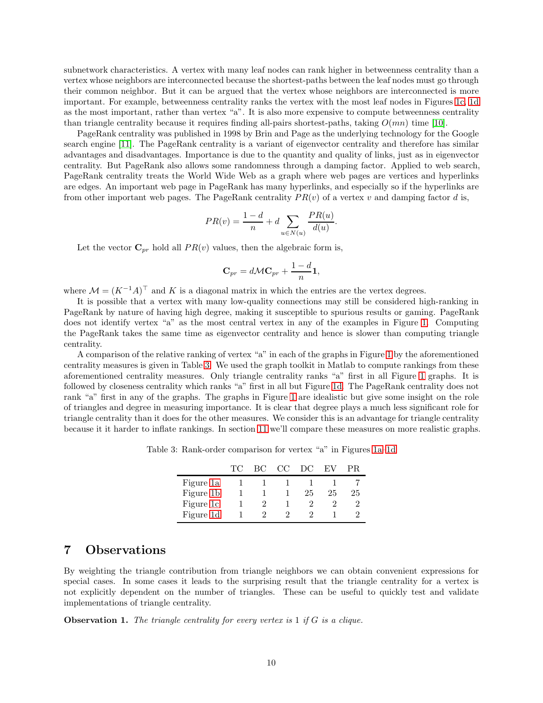subnetwork characteristics. A vertex with many leaf nodes can rank higher in betweenness centrality than a vertex whose neighbors are interconnected because the shortest-paths between the leaf nodes must go through their common neighbor. But it can be argued that the vertex whose neighbors are interconnected is more important. For example, betweenness centrality ranks the vertex with the most leaf nodes in Figures [1c, 1d](#page-5-2) as the most important, rather than vertex "a". It is also more expensive to compute betweenness centrality than triangle centrality because it requires finding all-pairs shortest-paths, taking  $O(mn)$  time [\[10\]](#page-32-9).

PageRank centrality was published in 1998 by Brin and Page as the underlying technology for the Google search engine [\[11\]](#page-32-8). The PageRank centrality is a variant of eigenvector centrality and therefore has similar advantages and disadvantages. Importance is due to the quantity and quality of links, just as in eigenvector centrality. But PageRank also allows some randomness through a damping factor. Applied to web search, PageRank centrality treats the World Wide Web as a graph where web pages are vertices and hyperlinks are edges. An important web page in PageRank has many hyperlinks, and especially so if the hyperlinks are from other important web pages. The PageRank centrality  $PR(v)$  of a vertex v and damping factor d is,

$$
PR(v) = \frac{1-d}{n} + d \sum_{u \in N(u)} \frac{PR(u)}{d(u)}
$$
.

Let the vector  $\mathbf{C}_{pr}$  hold all  $PR(v)$  values, then the algebraic form is,

$$
\mathbf{C}_{pr} = d\mathcal{M}\mathbf{C}_{pr} + \frac{1-d}{n}\mathbf{1},
$$

where  $\mathcal{M} = (K^{-1}A)^{\top}$  and K is a diagonal matrix in which the entries are the vertex degrees.

It is possible that a vertex with many low-quality connections may still be considered high-ranking in PageRank by nature of having high degree, making it susceptible to spurious results or gaming. PageRank does not identify vertex "a" as the most central vertex in any of the examples in Figure [1.](#page-5-2) Computing the PageRank takes the same time as eigenvector centrality and hence is slower than computing triangle centrality.

<span id="page-9-1"></span>A comparison of the relative ranking of vertex "a" in each of the graphs in Figure [1](#page-5-2) by the aforementioned centrality measures is given in Table [3.](#page-9-1) We used the graph toolkit in Matlab to compute rankings from these aforementioned centrality measures. Only triangle centrality ranks "a" first in all Figure [1](#page-5-2) graphs. It is followed by closeness centrality which ranks "a" first in all but Figure [1d.](#page-5-2) The PageRank centrality does not rank "a" first in any of the graphs. The graphs in Figure [1](#page-5-2) are idealistic but give some insight on the role of triangles and degree in measuring importance. It is clear that degree plays a much less significant role for triangle centrality than it does for the other measures. We consider this is an advantage for triangle centrality because it it harder to inflate rankings. In section [11](#page-25-0) we'll compare these measures on more realistic graphs.

Table 3: Rank-order comparison for vertex "a" in Figures [1a–1d](#page-5-2)

|           | BC. | CC | $\Box$ | EV. | РR |
|-----------|-----|----|--------|-----|----|
| Figure 1a |     |    |        |     |    |
| Figure 1b |     |    | 25     | 25  | 25 |
| Figure 1c |     |    |        |     |    |
| Figure 1d |     |    |        |     |    |

## <span id="page-9-0"></span>7 Observations

By weighting the triangle contribution from triangle neighbors we can obtain convenient expressions for special cases. In some cases it leads to the surprising result that the triangle centrality for a vertex is not explicitly dependent on the number of triangles. These can be useful to quickly test and validate implementations of triangle centrality.

**Observation 1.** The triangle centrality for every vertex is  $1$  if  $G$  is a clique.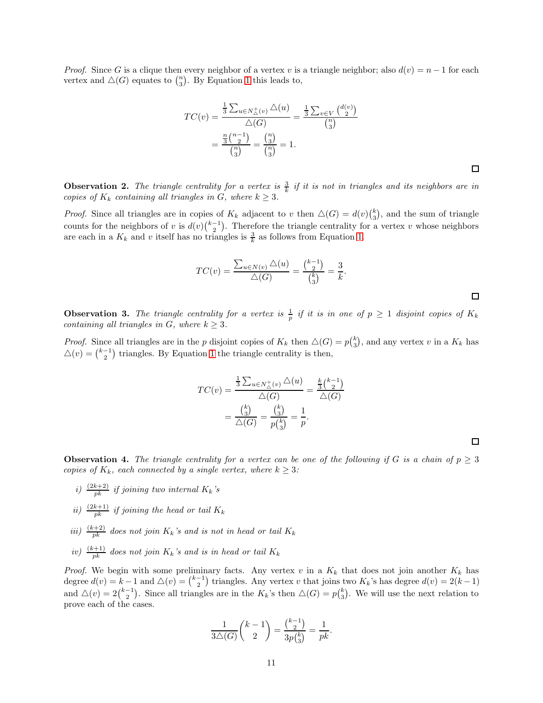*Proof.* Since G is a clique then every neighbor of a vertex v is a triangle neighbor; also  $d(v) = n - 1$  for each vertex and  $\Delta(G)$  equates to  $\binom{n}{3}$ . By Equation [1](#page-5-3) this leads to,

$$
TC(v) = \frac{\frac{1}{3} \sum_{u \in N_{\Delta}(v)} \Delta(u)}{\Delta(G)} = \frac{\frac{1}{3} \sum_{v \in V} {d(v) \choose 2}}{\binom{n}{3}}
$$

$$
= \frac{\frac{n}{3} \binom{n-1}{2}}{\binom{n}{3}} = \frac{\binom{n}{3}}{\binom{n}{3}} = 1.
$$

<span id="page-10-2"></span>**Observation 2.** The triangle centrality for a vertex is  $\frac{3}{k}$  if it is not in triangles and its neighbors are in copies of  $K_k$  containing all triangles in G, where  $k \geq 3$ .

*Proof.* Since all triangles are in copies of  $K_k$  adjacent to v then  $\Delta(G) = d(v) \binom{k}{3}$ , and the sum of triangle counts for the neighbors of v is  $d(v)\binom{k-1}{2}$ . Therefore the triangle centrality for a vertex v whose neighbors are each in a  $K_k$  and v itself has no triangles is  $\frac{3}{k}$  as follows from Equation [1.](#page-5-3)

$$
TC(v) = \frac{\sum_{u \in N(v)} \triangle(u)}{\triangle(G)} = \frac{\binom{k-1}{2}}{\binom{k}{3}} = \frac{3}{k}.
$$

 $\Box$ 

 $\Box$ 

 $\Box$ 

<span id="page-10-1"></span>**Observation 3.** The triangle centrality for a vertex is  $\frac{1}{p}$  if it is in one of  $p \ge 1$  disjoint copies of  $K_k$ containing all triangles in G, where  $k \geq 3$ .

*Proof.* Since all triangles are in the p disjoint copies of  $K_k$  then  $\Delta(G) = p{k \choose 3}$ , and any vertex v in a  $K_k$  has  $\Delta(v) = \binom{k-1}{2}$  triangles. By Equation [1](#page-5-3) the triangle centrality is then,

$$
TC(v) = \frac{\frac{1}{3} \sum_{u \in N_{\triangle}^{+}(v)} \triangle(u)}{\triangle(G)} = \frac{\frac{k}{3} {k-1 \choose 2}}{\triangle(G)} = \frac{{k \choose 3}}{\triangle(G)} = \frac{{k \choose 3}}{p {k \choose 3}} = \frac{1}{p}.
$$

<span id="page-10-0"></span>**Observation 4.** The triangle centrality for a vertex can be one of the following if G is a chain of  $p \geq 3$ copies of  $K_k$ , each connected by a single vertex, where  $k \geq 3$ :

- i)  $\frac{(2k+2)}{pk}$  if joining two internal  $K_k$ 's
- ii)  $\frac{(2k+1)}{pk}$  if joining the head or tail  $K_k$
- iii)  $\frac{(k+2)}{pk}$  does not join  $K_k$ 's and is not in head or tail  $K_k$
- iv)  $\frac{(k+1)}{pk}$  does not join  $K_k$ 's and is in head or tail  $K_k$

*Proof.* We begin with some preliminary facts. Any vertex v in a  $K_k$  that does not join another  $K_k$  has degree  $d(v) = k - 1$  and  $\triangle(v) = \binom{k-1}{2}$  triangles. Any vertex v that joins two  $K_k$ 's has degree  $d(v) = 2(k-1)$ and  $\Delta(v) = 2\binom{k-1}{2}$ . Since all triangles are in the  $K_k$ 's then  $\Delta(G) = p\binom{k}{3}$  $_{3}^{k}$ ). We will use the next relation to prove each of the cases.

$$
\frac{1}{3\triangle(G)}\binom{k-1}{2} = \frac{\binom{k-1}{2}}{3p\binom{k}{3}} = \frac{1}{pk}.
$$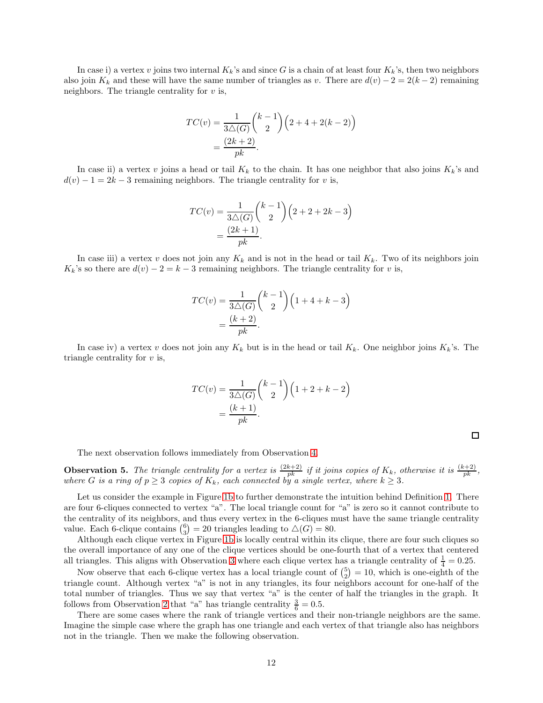In case i) a vertex v joins two internal  $K_k$ 's and since G is a chain of at least four  $K_k$ 's, then two neighbors also join K<sub>k</sub> and these will have the same number of triangles as v. There are  $d(v) - 2 = 2(k-2)$  remaining neighbors. The triangle centrality for  $v$  is,

$$
TC(v) = \frac{1}{3\triangle(G)} {k-1 \choose 2} (2+4+2(k-2))
$$
  
= 
$$
\frac{(2k+2)}{pk}.
$$

In case ii) a vertex v joins a head or tail  $K_k$  to the chain. It has one neighbor that also joins  $K_k$ 's and  $d(v) - 1 = 2k - 3$  remaining neighbors. The triangle centrality for v is,

$$
TC(v) = \frac{1}{3\triangle(G)} \binom{k-1}{2} \left(2+2+2k-3\right)
$$

$$
= \frac{(2k+1)}{pk}.
$$

In case iii) a vertex v does not join any  $K_k$  and is not in the head or tail  $K_k$ . Two of its neighbors join  $K_k$ 's so there are  $d(v) - 2 = k - 3$  remaining neighbors. The triangle centrality for v is,

$$
TC(v) = \frac{1}{3\triangle(G)} \binom{k-1}{2} \left(1+4+k-3\right)
$$

$$
= \frac{(k+2)}{pk}.
$$

In case iv) a vertex v does not join any  $K_k$  but is in the head or tail  $K_k$ . One neighbor joins  $K_k$ 's. The triangle centrality for  $v$  is,

$$
TC(v) = \frac{1}{3\triangle(G)} \binom{k-1}{2} \left(1+2+k-2\right)
$$

$$
= \frac{(k+1)}{pk}.
$$

 $\Box$ 

The next observation follows immediately from Observation [4.](#page-10-0)

**Observation 5.** The triangle centrality for a vertex is  $\frac{(2k+2)}{pk}$  if it joins copies of  $K_k$ , otherwise it is  $\frac{(k+2)}{pk}$ , where G is a ring of  $p \geq 3$  copies of  $K_k$ , each connected by a single vertex, where  $k \geq 3$ .

Let us consider the example in Figure [1b](#page-5-2) to further demonstrate the intuition behind Definition [1.](#page-5-1) There are four 6-cliques connected to vertex "a". The local triangle count for "a" is zero so it cannot contribute to the centrality of its neighbors, and thus every vertex in the 6-cliques must have the same triangle centrality value. Each 6-clique contains  $\binom{6}{3} = 20$  triangles leading to  $\triangle(G) = 80$ .

Although each clique vertex in Figure [1b](#page-5-2) is locally central within its clique, there are four such cliques so the overall importance of any one of the clique vertices should be one-fourth that of a vertex that centered all triangles. This aligns with Observation [3](#page-10-1) where each clique vertex has a triangle centrality of  $\frac{1}{4} = 0.25$ .

Now observe that each 6-clique vertex has a local triangle count of  $\binom{5}{2} = 10$ , which is one-eighth of the triangle count. Although vertex "a" is not in any triangles, its four neighbors account for one-half of the total number of triangles. Thus we say that vertex "a" is the center of half the triangles in the graph. It follows from Observation [2](#page-10-2) that "a" has triangle centrality  $\frac{3}{6} = 0.5$ .

There are some cases where the rank of triangle vertices and their non-triangle neighbors are the same. Imagine the simple case where the graph has one triangle and each vertex of that triangle also has neighbors not in the triangle. Then we make the following observation.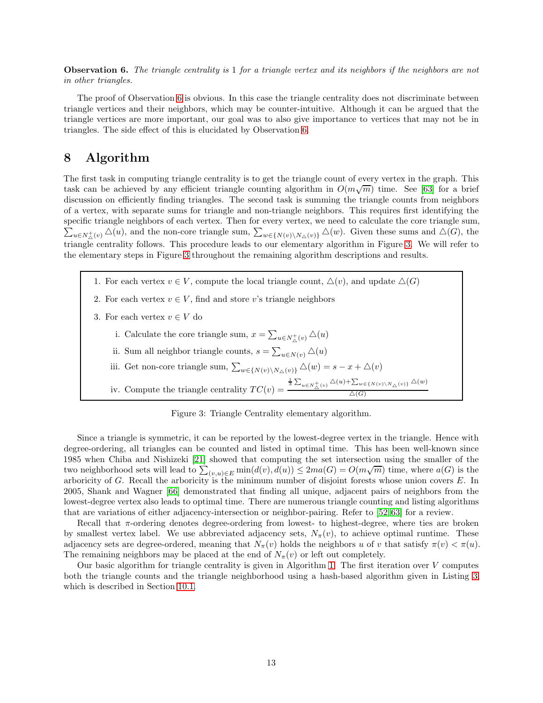<span id="page-12-1"></span>Observation 6. The triangle centrality is 1 for a triangle vertex and its neighbors if the neighbors are not in other triangles.

The proof of Observation [6](#page-12-1) is obvious. In this case the triangle centrality does not discriminate between triangle vertices and their neighbors, which may be counter-intuitive. Although it can be argued that the triangle vertices are more important, our goal was to also give importance to vertices that may not be in triangles. The side effect of this is elucidated by Observation [6.](#page-12-1)

## <span id="page-12-0"></span>8 Algorithm

The first task in computing triangle centrality is to get the triangle count of every vertex in the graph. This task can be achieved by any efficient triangle counting algorithm in  $O(m\sqrt{m})$  time. See [\[63\]](#page-35-5) for a brief discussion on efficiently finding triangles. The second task is summing the triangle counts from neighbors of a vertex, with separate sums for triangle and non-triangle neighbors. This requires first identifying the specific triangle neighbors of each vertex. Then for every vertex , we need to calculate the core triangle sum,  $\sum_{u\in N_{\Delta}^+(v)} \Delta(u)$ , and the non-core triangle sum,  $\sum_{w\in\{N(v)\setminus N_{\Delta}(v)\}} \Delta(w)$ . Given these sums and  $\Delta(G)$ , the triangle centrality follows. This procedure leads to our elementary algorithm in Figure [3.](#page-12-2) We will refer to the elementary steps in Figure [3](#page-12-2) throughout the remaining algorithm descriptions and results.

- <span id="page-12-4"></span><span id="page-12-3"></span><span id="page-12-2"></span>1. For each vertex  $v \in V$ , compute the local triangle count,  $\Delta(v)$ , and update  $\Delta(G)$
- <span id="page-12-5"></span>2. For each vertex  $v \in V$ , find and store v's triangle neighbors
- <span id="page-12-9"></span><span id="page-12-8"></span><span id="page-12-7"></span><span id="page-12-6"></span>3. For each vertex  $v \in V$  do
	- i. Calculate the core triangle sum,  $x = \sum_{u \in N_{\Delta}^+(v)} \Delta(u)$
	- ii. Sum all neighbor triangle counts,  $s = \sum_{u \in N(v)} \Delta(u)$
	- iii. Get non-core triangle sum,  $\sum_{w \in \{N(v)\setminus N_\triangle(v)\}} \triangle(w) = s x + \triangle(v)$
	- iv. Compute the triangle centrality  $TC(v) =$  $\frac{1}{3}\sum_{u\in N_{\Delta}(v)} \Delta(u)+\sum_{w\in\{N(v)\setminus N_{\Delta}(v)\}} \Delta(w)$  $\Delta(G)$

Figure 3: Triangle Centrality elementary algorithm.

Since a triangle is symmetric, it can be reported by the lowest-degree vertex in the triangle. Hence with degree-ordering, all triangles can be counted and listed in optimal time. This has been well-known since 1985 when Chiba and Nishizeki [\[21\]](#page-33-9) showed that computing the set intersection using the smaller of the two neighborhood sets will lead to  $\sum_{(v,u)\in E}^{\infty} \min(d(v), d(u)) \leq 2ma(G) = O(m\sqrt{m})$  time, where  $a(G)$  is the arboricity of G. Recall the arboricity is the minimum number of disjoint forests whose union covers E. In 2005, Shank and Wagner [\[66\]](#page-35-6) demonstrated that finding all unique, adjacent pairs of neighbors from the lowest-degree vertex also leads to optimal time. There are numerous triangle counting and listing algorithms that are variations of either adjacency-intersection or neighbor-pairing. Refer to [\[52,](#page-34-1) [63\]](#page-35-5) for a review.

Recall that  $\pi$ -ordering denotes degree-ordering from lowest- to highest-degree, where ties are broken by smallest vertex label. We use abbreviated adjacency sets,  $N_{\pi}(v)$ , to achieve optimal runtime. These adjacency sets are degree-ordered, meaning that  $N_{\pi}(v)$  holds the neighbors u of v that satisfy  $\pi(v) < \pi(u)$ . The remaining neighbors may be placed at the end of  $N_\pi(v)$  or left out completely.

Our basic algorithm for triangle centrality is given in Algorithm [1.](#page-23-0) The first iteration over  $V$  computes both the triangle counts and the triangle neighborhood using a hash-based algorithm given in Listing [3,](#page-21-0) which is described in Section [10.1.](#page-20-1)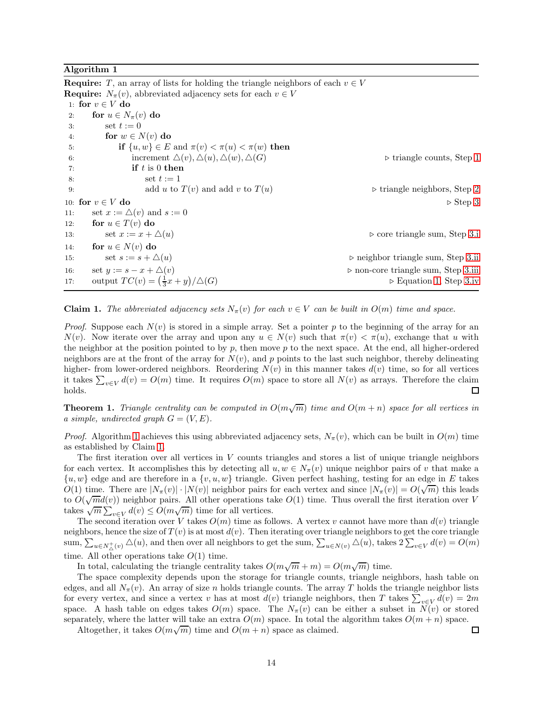#### Algorithm 1

**Require:** T, an array of lists for holding the triangle neighbors of each  $v \in V$ **Require:**  $N_{\pi}(v)$ , abbreviated adjacency sets for each  $v \in V$ 1: for  $v \in V$  do<br>2: for  $u \in N$ . 2: for  $u \in N_{\pi}(v)$  do<br>3: set  $t := 0$ set  $t := 0$ 4: for  $w \in N(v)$  do<br>5: if  $\{u, w\} \in E$ 5: **if**  $\{u, w\} \in E$  and  $\pi(v) < \pi(u) < \pi(w)$  then<br>6: increment  $\Delta(v), \Delta(u), \Delta(w), \Delta(G)$ 6: increment  $\triangle(v), \triangle(u), \triangle(w), \triangle(G)$   $\triangleright$  triangle counts, Step [1](#page-12-3)  $\mathbf{f}$  t is 0 **then** if  $t$  is 0 then 8:  $\text{set } t := 1$ 9: add u to  $T(v)$  and add v to  $T(u)$   $\triangleright$  triangle neighbors, Step [2](#page-12-4) 10: **for**  $v \in V$  **do**  $\triangleright$  Step [3](#page-12-5)<br>11: set  $x := \triangle(v)$  and  $s := 0$ 11: set  $x := \triangle(v)$  and  $s := 0$ <br>12: **for**  $u \in T(v)$  **do** 12: **for**  $u \in T(v)$  **do**<br>13: **set**  $x := x + \Delta(u)$ 13: set x := x + △(u) ⊲ core triangle sum, Step [3.i](#page-12-6) 14: **for**  $u \in N(v)$  **do**<br>15: **set**  $s := s + \triangle(u)$  $15.55$  set  $s := s + ∆(u)$ <br>  $15.55$  set  $y := s - x + ∆(v)$ <br>  $25.55$   $15.55$   $15.55$   $15.55$   $15.55$   $15.55$   $15.55$   $15.55$   $15.55$   $15.55$   $15.55$   $15.55$   $15.55$   $15.55$   $15.55$   $15.55$   $15.55$   $15.55$   $15.55$   $15.55$   $15.55$  16: set  $y := s - x + \Delta(v)$ <br>
17: output  $TC(v) = (\frac{1}{2}x + y)/\Delta(G)$ <br>
17:  $\Rightarrow$  Equation 1, Step 3.iv 17: output  $TC(v) = (\frac{1}{3}x + y)$  $\triangleright$  Equation [1,](#page-5-3) Step [3.iv](#page-12-9)

<span id="page-13-1"></span>**Claim 1.** The abbreviated adjacency sets  $N_{\pi}(v)$  for each  $v \in V$  can be built in  $O(m)$  time and space.

*Proof.* Suppose each  $N(v)$  is stored in a simple array. Set a pointer p to the beginning of the array for an  $N(v)$ . Now iterate over the array and upon any  $u \in N(v)$  such that  $\pi(v) < \pi(u)$ , exchange that u with the neighbor at the position pointed to by p, then move p to the next space. At the end, all higher-ordered neighbors are at the front of the array for  $N(v)$ , and p points to the last such neighbor, thereby delineating higher- from lower-ordered neighbors. Reordering  $N(v)$  in this manner takes  $d(v)$  time, so for all vertices it takes  $\sum_{v \in V} d(v) = O(m)$  time. It requires  $O(m)$  space to store all  $N(v)$  as arrays. Therefore the claim holds.  $\Box$ 

<span id="page-13-0"></span>**Theorem 1.** Triangle centrality can be computed in  $O(m\sqrt{m})$  time and  $O(m+n)$  space for all vertices in a simple, undirected graph  $G = (V, E)$ .

*Proof.* Algorithm [1](#page-23-0) achieves this using abbreviated adjacency sets,  $N_{\pi}(v)$ , which can be built in  $O(m)$  time as established by Claim [1.](#page-13-1)

The first iteration over all vertices in  $V$  counts triangles and stores a list of unique triangle neighbors for each vertex. It accomplishes this by detecting all  $u, w \in N_\pi(v)$  unique neighbor pairs of v that make a  $\{u, w\}$  edge and are therefore in a  $\{v, u, w\}$  triangle. Given perfect hashing, testing for an edge in E takes  $O(1)$  time. There are  $|N_{\pi}(v)| \cdot |N(v)|$  neighbor pairs for each vertex and since  $|N_{\pi}(v)| = O(\sqrt{m})$  this leads to  $O(\sqrt{m}d(v))$  neighbor pairs. All other operations take  $O(1)$  time. Thus overall the first iteration over V takes  $\sqrt{m} \sum_{v \in V} d(v) \leq O(m\sqrt{m})$  time for all vertices.

The second iteration over V takes  $O(m)$  time as follows. A vertex v cannot have more than  $d(v)$  triangle neighbors, hence the size of  $T(v)$  is at most  $d(v)$ . Then iterating over triangle neighbors to get the core triangle  $\text{sum}, \sum_{u \in N_{\triangle}^+(v)} \triangle(u)$ , and then over all neighbors to get the sum,  $\sum_{u \in N(v)} \triangle(u)$ , takes  $2\sum_{v \in V} d(v) = O(m)$ time. All other operations take  $O(1)$  time.

In total, calculating the triangle centrality takes  $O(m\sqrt{m} + m) = O(m\sqrt{m})$  time.

The space complexity depends upon the storage for triangle counts, triangle neighbors, hash table on edges, and all  $N_{\pi}(v)$ . An array of size n holds triangle counts. The array T holds the triangle neighbor lists for every vertex, and since a vertex v has at most  $d(v)$  triangle neighbors, then T takes  $\sum_{v \in V} d(v) = 2m$ space. A hash table on edges takes  $O(m)$  space. The  $N_\pi(v)$  can be either a subset in  $N(v)$  or stored separately, where the latter will take an extra  $O(m)$  space. In total the algorithm takes  $O(m + n)$  space.

Altogether, it takes  $O(m\sqrt{m})$  time and  $O(m+n)$  space as claimed.

 $\Box$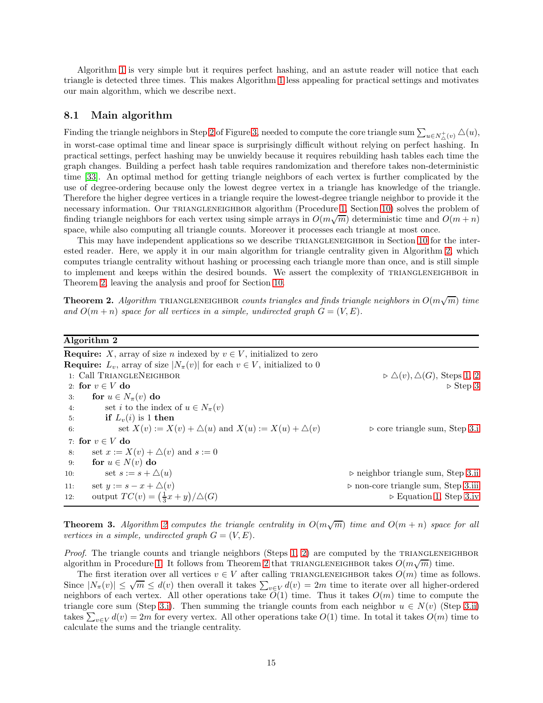Algorithm [1](#page-23-0) is very simple but it requires perfect hashing, and an astute reader will notice that each triangle is detected three times. This makes Algorithm [1](#page-23-0) less appealing for practical settings and motivates our main algorithm, which we describe next.

## <span id="page-14-2"></span>8.1 Main algorithm

Finding the triangle neighbors in Step [2](#page-12-4) of Figure [3,](#page-12-2) needed to compute the core triangle sum  $\sum_{u\in N^+_\Delta(v)}\Delta(u),$ in worst-case optimal time and linear space is surprisingly difficult without relying on perfect hashing. In practical settings, perfect hashing may be unwieldy because it requires rebuilding hash tables each time the graph changes. Building a perfect hash table requires randomization and therefore takes non-deterministic time [\[33\]](#page-33-10). An optimal method for getting triangle neighbors of each vertex is further complicated by the use of degree-ordering because only the lowest degree vertex in a triangle has knowledge of the triangle. Therefore the higher degree vertices in a triangle require the lowest-degree triangle neighbor to provide it the necessary information. Our TRIANGLENEIGHBOR algorithm (Procedure [1,](#page-23-0) Section [10\)](#page-20-0) solves the problem of finding triangle neighbors for each vertex using simple arrays in  $O(m\sqrt{m})$  deterministic time and  $O(m+n)$ space, while also computing all triangle counts. Moreover it processes each triangle at most once.

This may have independent applications so we describe TRIANGLENEIGHBOR in Section [10](#page-20-0) for the interested reader. Here, we apply it in our main algorithm for triangle centrality given in Algorithm [2,](#page-36-0) which computes triangle centrality without hashing or processing each triangle more than once, and is still simple to implement and keeps within the desired bounds. We assert the complexity of TRIANGLENEIGHBOR in Theorem [2,](#page-14-0) leaving the analysis and proof for Section [10.](#page-20-0)

<span id="page-14-0"></span>**Theorem 2.** Algorithm TRIANGLENEIGHBOR counts triangles and finds triangle neighbors in  $O(m\sqrt{m})$  time and  $O(m+n)$  space for all vertices in a simple, undirected graph  $G = (V, E)$ .

#### Algorithm 2

**Require:** X, array of size n indexed by  $v \in V$ , initialized to zero **Require:**  $L_v$ , array of size  $|N_\pi(v)|$  for each  $v \in V$ , initialized to 0 1: Call TRIANGLENEIGHBOR  $\triangleright \Delta(v), \Delta(G)$ , Steps [1,](#page-12-3) [2](#page-12-4)<br>2: for  $v \in V$  do  $\triangleright$  Step 3 2: for  $v \in V$  do<br>3: for  $u \in N$ 3: **for**  $u \in N_\pi(v)$  **do**<br>4: **set** *i* to the inc 4: set *i* to the index of  $u \in N_{\pi}(v)$ <br>5: **if**  $L_n(i)$  is 1 **then** if  $L_v(i)$  is 1 then 6: set  $X(v) := X(v) + \triangle(u)$  and  $X(u) := X(u) + \triangle(v)$   $\triangleright$  core triangle sum, Step [3.i](#page-12-6) 7: for  $v \in V$  do<br>8: set  $x := X$ 8: set  $x := X(v) + \triangle(v)$  and  $s := 0$ <br>9: **for**  $u \in N(v)$  **do** 9: **for**  $u \in N(v)$  **do**<br>10: **set**  $s := s + \triangle(u)$ ⊳ neighbor triangle sum, Step [3.ii](#page-12-7) 11: set  $y := s - x + \Delta(v)$ <br>
12: output  $TC(v) = (\frac{1}{2}x + y)/\Delta(G)$ <br>
⇒ Equation 1, Step 3.iv 12: output  $TC(v) = (\frac{1}{3}x + y)$  $\triangleright$  Equation [1,](#page-5-3) Step [3.iv](#page-12-9)

<span id="page-14-1"></span>**Theorem 3.** Algorithm [2](#page-36-0) computes the triangle centrality in  $O(m\sqrt{m})$  time and  $O(m + n)$  space for all vertices in a simple, undirected graph  $G = (V, E)$ .

*Proof.* The triangle counts and triangle neighbors (Steps [1,](#page-12-3) [2\)](#page-12-4) are computed by the TRIANGLENEIGHBOR algorithm in Procedure [1.](#page-23-0) It follows from Theorem [2](#page-14-0) that TRIANGLENEIGHBOR takes  $O(m\sqrt{m})$  time.

The first iteration over all vertices  $v \in V$  after calling TRIANGLENEIGHBOR takes  $O(m)$  time as follows. Since  $|N_{\pi}(v)| \leq \sqrt{m} \leq d(v)$  then overall it takes  $\sum_{v \in V} d(v) = 2m$  time to iterate over all higher-ordered neighbors of each vertex. All other operations take  $\tilde{O}(1)$  time. Thus it takes  $O(m)$  time to compute the triangle core sum (Step [3.i\)](#page-12-6). Then summing the triangle counts from each neighbor  $u \in N(v)$  (Step [3.ii\)](#page-12-7) takes  $\sum_{v\in V} d(v) = 2m$  for every vertex. All other operations take  $O(1)$  time. In total it takes  $O(m)$  time to calculate the sums and the triangle centrality.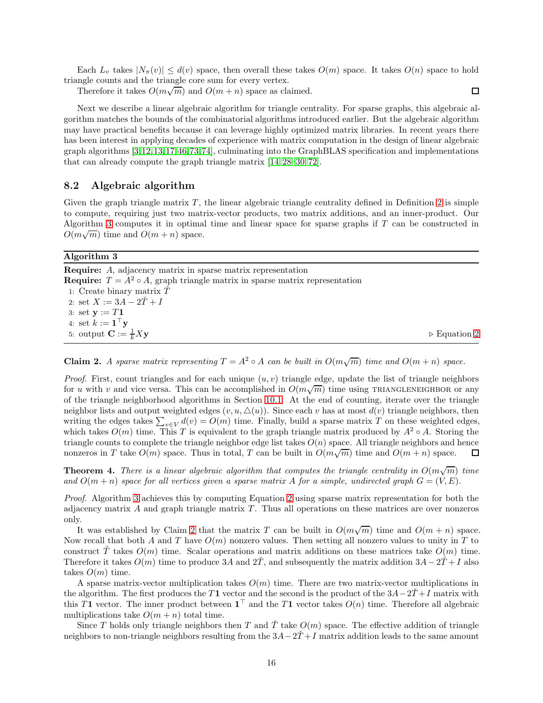Each  $L_v$  takes  $|N_\pi(v)| \leq d(v)$  space, then overall these takes  $O(m)$  space. It takes  $O(n)$  space to hold triangle counts and the triangle core sum for every vertex.

 $\Box$ 

Therefore it takes  $O(m\sqrt{m})$  and  $O(m+n)$  space as claimed.

Next we describe a linear algebraic algorithm for triangle centrality. For sparse graphs, this algebraic algorithm matches the bounds of the combinatorial algorithms introduced earlier. But the algebraic algorithm may have practical benefits because it can leverage highly optimized matrix libraries. In recent years there has been interest in applying decades of experience with matrix computation in the design of linear algebraic graph algorithms [\[3,](#page-32-10)[12,](#page-32-11)[13,](#page-32-12)[17,](#page-32-13)[46,](#page-34-2)[73,](#page-35-10)[74\]](#page-35-11), culminating into the GraphBLAS specification and implementations that can already compute the graph triangle matrix [\[14,](#page-32-14) [28–](#page-33-11)[30,](#page-33-12) [72\]](#page-35-12).

### 8.2 Algebraic algorithm

Given the graph triangle matrix  $T$ , the linear algebraic triangle centrality defined in Definition [2](#page-7-1) is simple to compute, requiring just two matrix-vector products, two matrix additions, and an inner-product. Our Algorithm [3](#page-21-0) computes it in optimal time and linear space for sparse graphs if T can be constructed in  $O(m\sqrt{m})$  time and  $O(m+n)$  space.

#### Algorithm 3

Require: A, adjacency matrix in sparse matrix representation **Require:**  $T = A^2 \circ A$ , graph triangle matrix in sparse matrix representation 1: Create binary matrix  $\check{T}$ 2: set  $X := 3A - 2\tilde{T} + I$ 3: set  $y := T1$ 4: set  $k := \mathbf{1}^\top \mathbf{y}$ 5: output  $\mathbf{C} := \frac{1}{k} X \mathbf{y}$  $\frac{1}{k} X$ y  $\rightarrow$  Equation [2](#page-7-3)

<span id="page-15-1"></span>**Claim 2.** A sparse matrix representing  $T = A^2 \circ A$  can be built in  $O(m\sqrt{m})$  time and  $O(m+n)$  space.

*Proof.* First, count triangles and for each unique  $(u, v)$  triangle edge, update the list of triangle neighbors for u with v and vice versa. This can be accomplished in  $O(m\sqrt{m})$  time using TRIANGLENEIGHBOR or any of the triangle neighborhood algorithms in Section [10.1.](#page-20-1) At the end of counting, iterate over the triangle neighbor lists and output weighted edges  $(v, u, \triangle(u))$ . Since each v has at most  $d(v)$  triangle neighbors, then writing the edges takes  $\sum_{v \in V} d(v) = O(m)$  time. Finally, build a sparse matrix T on these weighted edges, which takes  $O(m)$  time. This T is equivalent to the graph triangle matrix produced by  $A^2 \circ A$ . Storing the triangle counts to complete the triangle neighbor edge list takes  $O(n)$  space. All triangle neighbors and hence nonzeros in T take  $O(m)$  space. Thus in total, T can be built in  $O(m\sqrt{m})$  time and  $O(m+n)$  space. П

<span id="page-15-0"></span>**Theorem 4.** There is a linear algebraic algorithm that computes the triangle centrality in  $O(m\sqrt{m})$  time and  $O(m+n)$  space for all vertices given a sparse matrix A for a simple, undirected graph  $G = (V, E)$ .

Proof. Algorithm [3](#page-21-0) achieves this by computing Equation [2](#page-7-3) using sparse matrix representation for both the adjacency matrix  $A$  and graph triangle matrix  $T$ . Thus all operations on these matrices are over nonzeros only.

It was established by Claim [2](#page-15-1) that the matrix T can be built in  $O(m\sqrt{m})$  time and  $O(m+n)$  space. Now recall that both A and T have  $O(m)$  nonzero values. Then setting all nonzero values to unity in T to construct T takes  $O(m)$  time. Scalar operations and matrix additions on these matrices take  $O(m)$  time. Therefore it takes  $O(m)$  time to produce 3A and  $2\tilde{T}$ , and subsequently the matrix addition  $3A-2\tilde{T}+I$  also takes  $O(m)$  time.

A sparse matrix-vector multiplication takes  $O(m)$  time. There are two matrix-vector multiplications in the algorithm. The first produces the T1 vector and the second is the product of the  $3A-2T+I$  matrix with this T1 vector. The inner product between  $1^+$  and the T1 vector takes  $O(n)$  time. Therefore all algebraic multiplications take  $O(m + n)$  total time.

Since T holds only triangle neighbors then T and T take  $O(m)$  space. The effective addition of triangle neighbors to non-triangle neighbors resulting from the  $3A-2T+I$  matrix addition leads to the same amount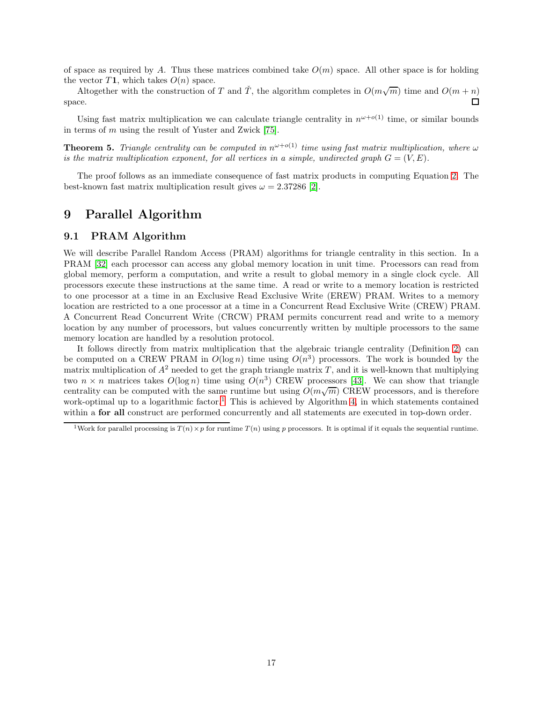of space as required by A. Thus these matrices combined take  $O(m)$  space. All other space is for holding the vector T1, which takes  $O(n)$  space.

Altogether with the construction of T and  $\check{T}$ , the algorithm completes in  $O(m\sqrt{m})$  time and  $O(m+n)$ space.  $\Box$ 

Using fast matrix multiplication we can calculate triangle centrality in  $n^{\omega+o(1)}$  time, or similar bounds in terms of m using the result of Yuster and Zwick [\[75\]](#page-35-7).

<span id="page-16-1"></span>**Theorem 5.** Triangle centrality can be computed in  $n^{\omega+o(1)}$  time using fast matrix multiplication, where  $\omega$ is the matrix multiplication exponent, for all vertices in a simple, undirected graph  $G = (V, E)$ .

The proof follows as an immediate consequence of fast matrix products in computing Equation [2.](#page-7-3) The best-known fast matrix multiplication result gives  $\omega = 2.37286$  [\[2\]](#page-32-15).

## <span id="page-16-0"></span>9 Parallel Algorithm

#### 9.1 PRAM Algorithm

We will describe Parallel Random Access (PRAM) algorithms for triangle centrality in this section. In a PRAM [\[32\]](#page-33-13) each processor can access any global memory location in unit time. Processors can read from global memory, perform a computation, and write a result to global memory in a single clock cycle. All processors execute these instructions at the same time. A read or write to a memory location is restricted to one processor at a time in an Exclusive Read Exclusive Write (EREW) PRAM. Writes to a memory location are restricted to a one processor at a time in a Concurrent Read Exclusive Write (CREW) PRAM. A Concurrent Read Concurrent Write (CRCW) PRAM permits concurrent read and write to a memory location by any number of processors, but values concurrently written by multiple processors to the same memory location are handled by a resolution protocol.

It follows directly from matrix multiplication that the algebraic triangle centrality (Definition [2\)](#page-7-1) can be computed on a CREW PRAM in  $O(\log n)$  time using  $O(n^3)$  processors. The work is bounded by the matrix multiplication of  $A^2$  needed to get the graph triangle matrix T, and it is well-known that multiplying two  $n \times n$  matrices takes  $O(\log n)$  time using  $O(n^3)$  CREW processors [\[43\]](#page-34-3). We can show that triangle centrality can be computed with the same runtime but using  $O(m\sqrt{m})$  CREW processors, and is therefore work-optimal up to a logarithmic factor.<sup>[1](#page-16-2)</sup> This is achieved by Algorithm [4,](#page-22-0) in which statements contained within a **for all** construct are performed concurrently and all statements are executed in top-down order.

<span id="page-16-2"></span><sup>&</sup>lt;sup>1</sup>Work for parallel processing is  $T(n) \times p$  for runtime  $T(n)$  using p processors. It is optimal if it equals the sequential runtime.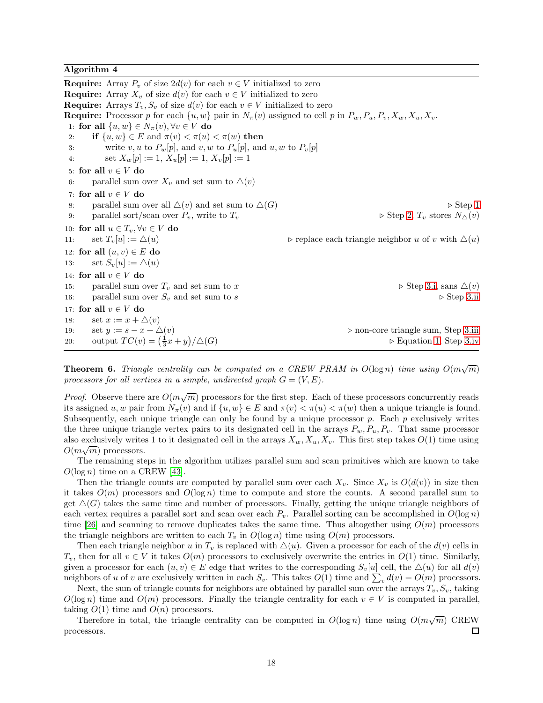#### Algorithm 4

**Require:** Array  $P_v$  of size  $2d(v)$  for each  $v \in V$  initialized to zero **Require:** Array  $X_v$  of size  $d(v)$  for each  $v \in V$  initialized to zero **Require:** Arrays  $T_v$ ,  $S_v$  of size  $d(v)$  for each  $v \in V$  initialized to zero **Require:** Processor p for each  $\{u, w\}$  pair in  $N_\pi(v)$  assigned to cell p in  $P_w, P_u, P_v, X_w, X_u, X_v$ . 1: for all  $\{u, w\} \in N_{\pi}(v), \forall v \in V$  do<br>2: if  $\{u, w\} \in E$  and  $\pi(v) < \pi(u)$ 2: **if**  $\{u, w\} \in E$  and  $\pi(v) < \pi(u) < \pi(w)$  then<br>3: write v, u to  $P_w[p]$ , and v, w to  $P_u[p]$ , and write v, u to  $P_w[p]$ , and v, w to  $P_u[p]$ , and u, w to  $P_v[p]$ 4: set  $X_w[p] := 1, X_u[p] := 1, X_v[p] := 1$ 5: for all  $v \in V$  do<br>6: parallel sum of parallel sum over  $X_v$  and set sum to  $\triangle(v)$ 7: for all  $v \in V$  do<br>8: parallel sum of 8: parallel sum over all  $\Delta(v)$  and set sum to  $\Delta(G)$  ⇒ Step [1](#page-12-3)<br>9: parallel sort/scan over  $P_v$ , write to  $T_v$  ⇒ Step 2,  $T_v$  stores  $N_{\Delta}(v)$ parallel sort/scan over  $P_v$ , write to  $T_v$ 10: **for all**  $u \in T_v$ ,  $\forall v \in V$  **do**<br>11: **set**  $T_v[u] := \triangle(u)$ ⊳ replace each triangle neighbor u of v with  $\Delta(u)$ 12: **for all**  $(u, v) \in E$  **do**<br>13: **set**  $S_v[u] := \triangle(u)$ set  $S_v[u] := \triangle(u)$ 14: **for all**  $v \in V$  **do**<br>15: **parallel sum of** 15: parallel sum over  $T_v$  and set sum to x  $\triangleright$  Step [3.i,](#page-12-6) sans  $\triangle(v)$ <br>16: parallel sum over  $S_v$  and set sum to s  $\triangleright$  Step 3.ii parallel sum over  $S_v$  and set sum to  $s$ 17: for all  $v \in V$  do<br>18: set  $x := x + \angle$ 18: set  $x := x + \triangle(v)$ <br>19: set  $y := s - x + \triangle(v)$ 19: set  $y := s - x + \Delta(v)$ <br>
20: output  $TC(v) = (\frac{1}{2}x + y)/\Delta(G)$ <br>
20:  $\Rightarrow$  Equation 1, Step 3.iv 20: output  $TC(v) = (\frac{1}{3}x + y)$  $\triangleright$  Equation [1,](#page-5-3) Step [3.iv](#page-12-9)

<span id="page-17-0"></span>**Theorem 6.** Triangle centrality can be computed on a CREW PRAM in  $O(\log n)$  time using  $O(m\sqrt{m})$ processors for all vertices in a simple, undirected graph  $G = (V, E)$ .

*Proof.* Observe there are  $O(m\sqrt{m})$  processors for the first step. Each of these processors concurrently reads its assigned u, w pair from  $N_{\pi}(v)$  and if  $\{u, w\} \in E$  and  $\pi(v) < \pi(u) < \pi(w)$  then a unique triangle is found. Subsequently, each unique triangle can only be found by a unique processor  $p$ . Each  $p$  exclusively writes the three unique triangle vertex pairs to its designated cell in the arrays  $P_w, P_u, P_v$ . That same processor also exclusively writes 1 to it designated cell in the arrays  $X_w, X_u, X_v$ . This first step takes  $O(1)$  time using  $O(m\sqrt{m})$  processors.

The remaining steps in the algorithm utilizes parallel sum and scan primitives which are known to take  $O(\log n)$  time on a CREW [\[43\]](#page-34-3).

Then the triangle counts are computed by parallel sum over each  $X_v$ . Since  $X_v$  is  $O(d(v))$  in size then it takes  $O(m)$  processors and  $O(\log n)$  time to compute and store the counts. A second parallel sum to get  $\Delta(G)$  takes the same time and number of processors. Finally, getting the unique triangle neighbors of each vertex requires a parallel sort and scan over each  $P_v$ . Parallel sorting can be accomplished in  $O(\log n)$ time [\[26\]](#page-33-14) and scanning to remove duplicates takes the same time. Thus altogether using  $O(m)$  processors the triangle neighbors are written to each  $T_v$  in  $O(\log n)$  time using  $O(m)$  processors.

Then each triangle neighbor u in  $T_v$  is replaced with  $\Delta(u)$ . Given a processor for each of the  $d(v)$  cells in  $T_v$ , then for all  $v \in V$  it takes  $O(m)$  processors to exclusively overwrite the entries in  $O(1)$  time. Similarly, given a processor for each  $(u, v) \in E$  edge that writes to the corresponding  $S_v[u]$  cell, the  $\Delta(u)$  for all  $d(v)$ neighbors of u of v are exclusively written in each  $S_v$ . This takes  $O(1)$  time and  $\sum_v d(v) = O(m)$  processors.

Next, the sum of triangle counts for neighbors are obtained by parallel sum over the arrays  $T_v$ ,  $S_v$ , taking  $O(\log n)$  time and  $O(m)$  processors. Finally the triangle centrality for each  $v \in V$  is computed in parallel, taking  $O(1)$  time and  $O(n)$  processors.

Therefore in total, the triangle centrality can be computed in  $O(\log n)$  time using  $O(m\sqrt{m})$  CREW processors.  $\Box$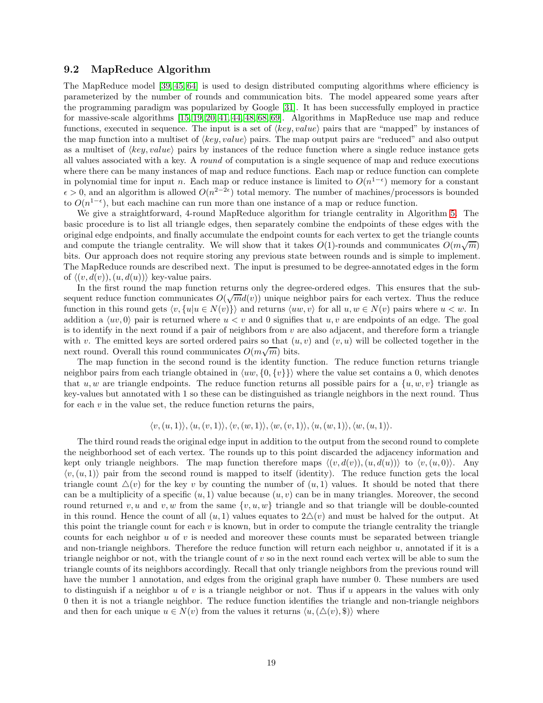#### 9.2 MapReduce Algorithm

The MapReduce model [\[39,](#page-34-4) [45,](#page-34-5) [64\]](#page-35-13) is used to design distributed computing algorithms where efficiency is parameterized by the number of rounds and communication bits. The model appeared some years after the programming paradigm was popularized by Google [\[31\]](#page-33-15). It has been successfully employed in practice for massive-scale algorithms [\[15,](#page-32-5) [19,](#page-33-16) [20,](#page-33-17) [41,](#page-34-6) [44,](#page-34-7) [48,](#page-34-8) [68,](#page-35-14) [69\]](#page-35-15). Algorithms in MapReduce use map and reduce functions, executed in sequence. The input is a set of  $\langle key, value \rangle$  pairs that are "mapped" by instances of the map function into a multiset of  $\langle key, value \rangle$  pairs. The map output pairs are "reduced" and also output as a multiset of  $\langle key, value \rangle$  pairs by instances of the reduce function where a single reduce instance gets all values associated with a key. A round of computation is a single sequence of map and reduce executions where there can be many instances of map and reduce functions. Each map or reduce function can complete in polynomial time for input n. Each map or reduce instance is limited to  $O(n^{1-\epsilon})$  memory for a constant  $\epsilon > 0$ , and an algorithm is allowed  $O(n^{2-2\epsilon})$  total memory. The number of machines/processors is bounded to  $O(n^{1-\epsilon})$ , but each machine can run more than one instance of a map or reduce function.

We give a straightforward, 4-round MapReduce algorithm for triangle centrality in Algorithm [5.](#page-22-1) The basic procedure is to list all triangle edges, then separately combine the endpoints of these edges with the original edge endpoints, and finally accumulate the endpoint counts for each vertex to get the triangle counts and compute the triangle centrality. We will show that it takes  $O(1)$ -rounds and communicates  $O(m\sqrt{m})$ bits. Our approach does not require storing any previous state between rounds and is simple to implement. The MapReduce rounds are described next. The input is presumed to be degree-annotated edges in the form of  $\langle (v, d(v)), (u, d(u)) \rangle$  key-value pairs.

In the first round the map function returns only the degree-ordered edges. This ensures that the subsequent reduce function communicates  $O(\sqrt{m}d(v))$  unique neighbor pairs for each vertex. Thus the reduce function in this round gets  $\langle v, \{u|u \in N(v)\}\rangle$  and returns  $\langle uw, v\rangle$  for all  $u, w \in N(v)$  pairs where  $u < w$ . In addition a  $\langle uv, 0 \rangle$  pair is returned where  $u < v$  and 0 signifies that u, v are endpoints of an edge. The goal is to identify in the next round if a pair of neighbors from  $v$  are also adjacent, and therefore form a triangle with v. The emitted keys are sorted ordered pairs so that  $(u, v)$  and  $(v, u)$  will be collected together in the next round. Overall this round communicates  $O(m\sqrt{m})$  bits.

The map function in the second round is the identity function. The reduce function returns triangle neighbor pairs from each triangle obtained in  $\langle uw, \{0, \{v\}\}\rangle$  where the value set contains a 0, which denotes that u, w are triangle endpoints. The reduce function returns all possible pairs for a  $\{u, w, v\}$  triangle as key-values but annotated with 1 so these can be distinguished as triangle neighbors in the next round. Thus for each  $v$  in the value set, the reduce function returns the pairs,

$$
\langle v, (u,1)\rangle, \langle u, (v,1)\rangle, \langle v, (w,1)\rangle, \langle w, (v,1)\rangle, \langle u, (w,1)\rangle, \langle w, (u,1)\rangle.
$$

The third round reads the original edge input in addition to the output from the second round to complete the neighborhood set of each vertex. The rounds up to this point discarded the adjacency information and kept only triangle neighbors. The map function therefore maps  $\langle (v, d(v)), (u, d(u)) \rangle$  to  $\langle v, (u, 0) \rangle$ . Any  $\langle v, (u, 1) \rangle$  pair from the second round is mapped to itself (identity). The reduce function gets the local triangle count  $\Delta(v)$  for the key v by counting the number of  $(u, 1)$  values. It should be noted that there can be a multiplicity of a specific  $(u, 1)$  value because  $(u, v)$  can be in many triangles. Moreover, the second round returned v, u and v, w from the same  $\{v, u, w\}$  triangle and so that triangle will be double-counted in this round. Hence the count of all  $(u, 1)$  values equates to  $2\Delta(v)$  and must be halved for the output. At this point the triangle count for each  $v$  is known, but in order to compute the triangle centrality the triangle counts for each neighbor  $u$  of  $v$  is needed and moreover these counts must be separated between triangle and non-triangle neighbors. Therefore the reduce function will return each neighbor u, annotated if it is a triangle neighbor or not, with the triangle count of  $v$  so in the next round each vertex will be able to sum the triangle counts of its neighbors accordingly. Recall that only triangle neighbors from the previous round will have the number 1 annotation, and edges from the original graph have number 0. These numbers are used to distinguish if a neighbor u of v is a triangle neighbor or not. Thus if u appears in the values with only 0 then it is not a triangle neighbor. The reduce function identifies the triangle and non-triangle neighbors and then for each unique  $u \in N(v)$  from the values it returns  $\langle u, (\Delta(v), \S) \rangle$  where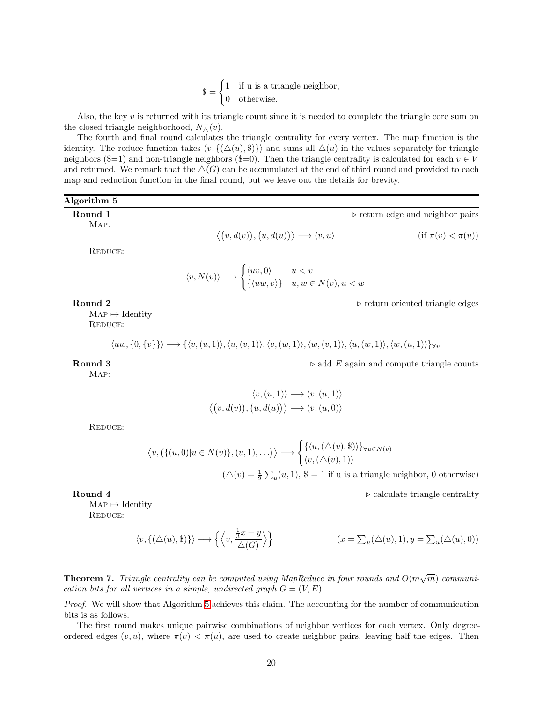$\$\ = \begin{cases} 1 & \text{if u is a triangle neighbor,} \\ 0 & \text{otherwise.} \end{cases}$ 0 otherwise.

Also, the key  $v$  is returned with its triangle count since it is needed to complete the triangle core sum on the closed triangle neighborhood,  $N^+_{\triangle}(v)$ .

The fourth and final round calculates the triangle centrality for every vertex. The map function is the identity. The reduce function takes  $\langle v, \{(\Delta(u), \$\)\}\rangle$  and sums all  $\Delta(u)$  in the values separately for triangle neighbors (\$=1) and non-triangle neighbors (\$=0). Then the triangle centrality is calculated for each  $v \in V$ and returned. We remark that the  $\Delta(G)$  can be accumulated at the end of third round and provided to each map and reduction function in the final round, but we leave out the details for brevity.

## Algorithm 5 Round 1 ∴ return edge and neighbor pairs and neighbor pairs

Map:

$$
\langle (v, d(v)), (u, d(u)) \rangle \longrightarrow \langle v, u \rangle \qquad \text{(if } \pi(v) < \pi(u))
$$

REDUCE:

$$
\langle v, N(v) \rangle \longrightarrow \begin{cases} \langle uv, 0 \rangle & u < v \\ \{\langle uw, v \rangle\} & u, w \in N(v), u < w \end{cases}
$$

Round 2 ⇒ return oriented triangle edges

 $MAP \mapsto Identity$ REDUCE:

 $\langle uw, \{0, \{v\}\}\rangle \longrightarrow \{\langle v, (u, 1)\rangle, \langle u, (v, 1)\rangle, \langle v, (w, 1)\rangle, \langle w, (v, 1)\rangle, \langle u, (w, 1)\rangle, \langle w, (u, 1)\rangle\}\forall v$ 

**Round 3**  $\triangleright$  add E again and compute triangle counts

Map:

$$
\langle v, (u, 1) \rangle \longrightarrow \langle v, (u, 1) \rangle
$$

$$
\langle (v, d(v)), (u, d(u)) \rangle \longrightarrow \langle v, (u, 0) \rangle
$$

Reduce:

$$
\langle v, (\{(u,0)|u \in N(v)\}, (u,1), \ldots) \rangle \longrightarrow \begin{cases} \{\langle u, (\triangle(v), \$\rangle\}\}_{\forall u \in N(v)} \\ \langle v, (\triangle(v), 1) \rangle \end{cases}
$$

$$
(\triangle(v) = \frac{1}{2} \sum_{u} (u, 1), \$\ = 1$ if u is a triangle neighbor, 0 otherwise)
$$

Round 4 ⇒ calculate triangle centrality

 $MAP \mapsto Identity$ 

REDUCE:

$$
\langle v, \{(\triangle(u), \$\}) \rangle \longrightarrow \left\{ \left\langle v, \frac{\frac{1}{3}x + y}{\triangle(G)} \right\rangle \right\} \qquad (x = \sum_{u} (\triangle(u), 1), y = \sum_{u} (\triangle(u), 0))
$$

<span id="page-19-0"></span>**Theorem 7.** Triangle centrality can be computed using MapReduce in four rounds and  $O(m\sqrt{m})$  communication bits for all vertices in a simple, undirected graph  $G = (V, E)$ .

Proof. We will show that Algorithm [5](#page-22-1) achieves this claim. The accounting for the number of communication bits is as follows.

The first round makes unique pairwise combinations of neighbor vertices for each vertex. Only degreeordered edges  $(v, u)$ , where  $\pi(v) < \pi(u)$ , are used to create neighbor pairs, leaving half the edges. Then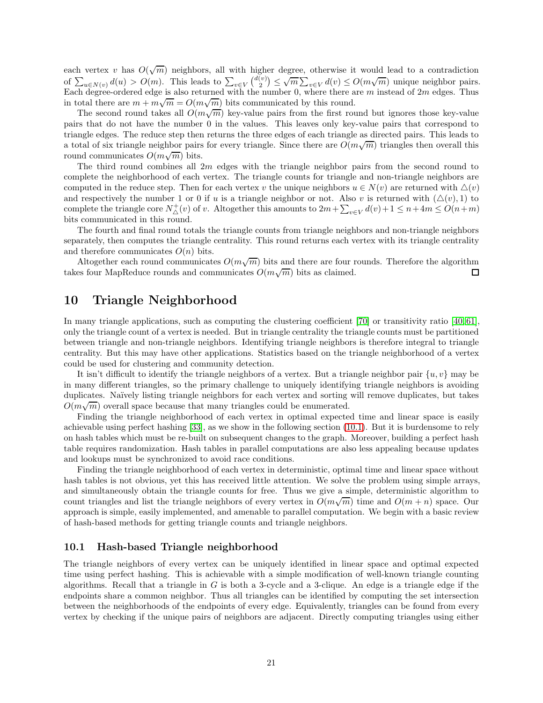each vertex v has  $O(\sqrt{m})$  neighbors, all with higher degree, otherwise it would lead to a contradiction of  $\sum_{u \in N(v)} d(u) > O(m)$ . This leads to  $\sum_{v \in V} {d(v) \choose 2} \le \sqrt{m} \sum_{v \in V} d(v) \le O(m\sqrt{m})$  unique neighbor pairs. Each degree-ordered edge is also returned with the number 0, where there are m instead of  $2m$  edges. Thus in total there are  $m + m\sqrt{m} = O(m\sqrt{m})$  bits communicated by this round.

The second round takes all  $\tilde{O}(m\sqrt{m})$  key-value pairs from the first round but ignores those key-value pairs that do not have the number 0 in the values. This leaves only key-value pairs that correspond to triangle edges. The reduce step then returns the three edges of each triangle as directed pairs. This leads to a total of six triangle neighbor pairs for every triangle. Since there are  $O(m\sqrt{m})$  triangles then overall this round communicates  $O(m\sqrt{m})$  bits.

The third round combines all  $2m$  edges with the triangle neighbor pairs from the second round to complete the neighborhood of each vertex. The triangle counts for triangle and non-triangle neighbors are computed in the reduce step. Then for each vertex v the unique neighbors  $u \in N(v)$  are returned with  $\Delta(v)$ and respectively the number 1 or 0 if u is a triangle neighbor or not. Also v is returned with  $(\Delta(v), 1)$  to complete the triangle core  $N^+_{\Delta}(v)$  of v. Altogether this amounts to  $2m+\sum_{v\in V}d(v)+1\leq n+4m\leq O(n+m)$ bits communicated in this round.

The fourth and final round totals the triangle counts from triangle neighbors and non-triangle neighbors separately, then computes the triangle centrality. This round returns each vertex with its triangle centrality and therefore communicates  $O(n)$  bits.

Altogether each round communicates  $O(m\sqrt{m})$  bits and there are four rounds. Therefore the algorithm takes four MapReduce rounds and communicates  $O(m\sqrt{m})$  bits as claimed. □

## <span id="page-20-0"></span>10 Triangle Neighborhood

In many triangle applications, such as computing the clustering coefficient [\[70\]](#page-35-2) or transitivity ratio [\[40,](#page-34-9) [61\]](#page-35-4), only the triangle count of a vertex is needed. But in triangle centrality the triangle counts must be partitioned between triangle and non-triangle neighbors. Identifying triangle neighbors is therefore integral to triangle centrality. But this may have other applications. Statistics based on the triangle neighborhood of a vertex could be used for clustering and community detection.

It isn't difficult to identify the triangle neighbors of a vertex. But a triangle neighbor pair  $\{u, v\}$  may be in many different triangles, so the primary challenge to uniquely identifying triangle neighbors is avoiding duplicates. Naïvely listing triangle neighbors for each vertex and sorting will remove duplicates, but takes  $\overline{O(m\sqrt{m})}$  overall space because that many triangles could be enumerated.

Finding the triangle neighborhood of each vertex in optimal expected time and linear space is easily achievable using perfect hashing [\[33\]](#page-33-10), as we show in the following section [\(10.1\)](#page-20-1). But it is burdensome to rely on hash tables which must be re-built on subsequent changes to the graph. Moreover, building a perfect hash table requires randomization. Hash tables in parallel computations are also less appealing because updates and lookups must be synchronized to avoid race conditions.

Finding the triangle neighborhood of each vertex in deterministic, optimal time and linear space without hash tables is not obvious, yet this has received little attention. We solve the problem using simple arrays, and simultaneously obtain the triangle counts for free. Thus we give a simple, deterministic algorithm to count triangles and list the triangle neighbors of every vertex in  $O(m\sqrt{m})$  time and  $O(m+n)$  space. Our approach is simple, easily implemented, and amenable to parallel computation. We begin with a basic review of hash-based methods for getting triangle counts and triangle neighbors.

#### <span id="page-20-1"></span>10.1 Hash-based Triangle neighborhood

The triangle neighbors of every vertex can be uniquely identified in linear space and optimal expected time using perfect hashing. This is achievable with a simple modification of well-known triangle counting algorithms. Recall that a triangle in  $G$  is both a 3-cycle and a 3-clique. An edge is a triangle edge if the endpoints share a common neighbor. Thus all triangles can be identified by computing the set intersection between the neighborhoods of the endpoints of every edge. Equivalently, triangles can be found from every vertex by checking if the unique pairs of neighbors are adjacent. Directly computing triangles using either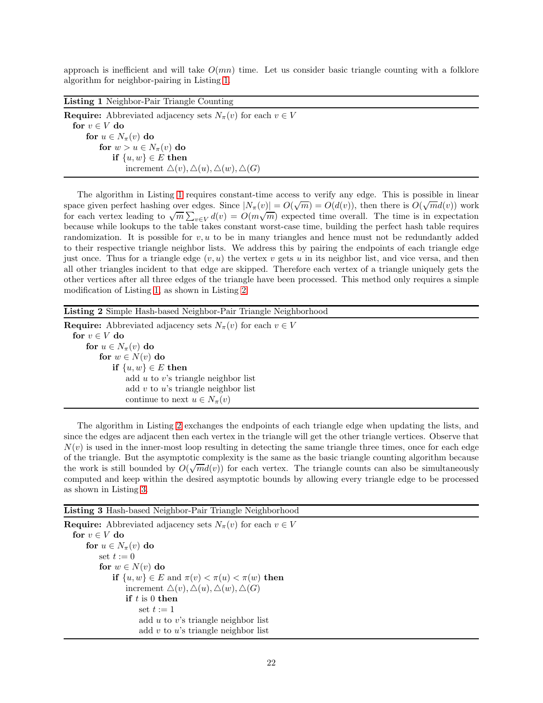approach is inefficient and will take  $O(mn)$  time. Let us consider basic triangle counting with a folklore algorithm for neighbor-pairing in Listing [1.](#page-23-0)

Listing 1 Neighbor-Pair Triangle Counting

**Require:** Abbreviated adjacency sets  $N_{\pi}(v)$  for each  $v \in V$ for  $v \in V$  do for  $u \in N_{\pi}(v)$  do for  $w > u \in N_\pi(v)$  do if  $\{u, w\} \in E$  then increment  $\Delta(v), \Delta(u), \Delta(w), \Delta(G)$ 

The algorithm in Listing [1](#page-23-0) requires constant-time access to verify any edge. This is possible in linear space given perfect hashing over edges. Since  $|N_\pi(v)| = O(\sqrt{m}) = O(d(v))$ , then there is  $O(\sqrt{m}d(v))$  work For each vertex leading to  $\sqrt{m} \sum_{v \in V} d(v) = O(m\sqrt{m})$  expected time overall. The time is in expectation because while lookups to the table takes constant worst-case time, building the perfect hash table requires randomization. It is possible for  $v, u$  to be in many triangles and hence must not be redundantly added to their respective triangle neighbor lists. We address this by pairing the endpoints of each triangle edge just once. Thus for a triangle edge  $(v, u)$  the vertex v gets u in its neighbor list, and vice versa, and then all other triangles incident to that edge are skipped. Therefore each vertex of a triangle uniquely gets the other vertices after all three edges of the triangle have been processed. This method only requires a simple modification of Listing [1,](#page-23-0) as shown in Listing [2.](#page-36-0)

Listing 2 Simple Hash-based Neighbor-Pair Triangle Neighborhood

**Require:** Abbreviated adjacency sets  $N_{\pi}(v)$  for each  $v \in V$ for  $v \in V$  do for  $u \in N_{\pi}(v)$  do for  $w \in N(v)$  do if  $\{u, w\} \in E$  then add u to v's triangle neighbor list add  $v$  to  $u$ 's triangle neighbor list continue to next  $u \in N_{\pi}(v)$ 

The algorithm in Listing [2](#page-36-0) exchanges the endpoints of each triangle edge when updating the lists, and since the edges are adjacent then each vertex in the triangle will get the other triangle vertices. Observe that  $N(v)$  is used in the inner-most loop resulting in detecting the same triangle three times, once for each edge of the triangle. But the asymptotic complexity is the same as the basic triangle counting algorithm because the work is still bounded by  $O(\sqrt{m}d(v))$  for each vertex. The triangle counts can also be simultaneously computed and keep within the desired asymptotic bounds by allowing every triangle edge to be processed as shown in Listing [3.](#page-21-0)

<span id="page-21-0"></span>Listing 3 Hash-based Neighbor-Pair Triangle Neighborhood

**Require:** Abbreviated adjacency sets  $N_{\pi}(v)$  for each  $v \in V$ for  $v \in V$  do for  $u \in N_{\pi}(v)$  do set  $t := 0$ for  $w \in N(v)$  do if  $\{u, w\} \in E$  and  $\pi(v) < \pi(u) < \pi(w)$  then increment  $\Delta(v), \Delta(u), \Delta(w), \Delta(G)$ if  $t$  is  $0$  then set  $t := 1$ add  $u$  to  $v$ 's triangle neighbor list add  $v$  to  $u$ 's triangle neighbor list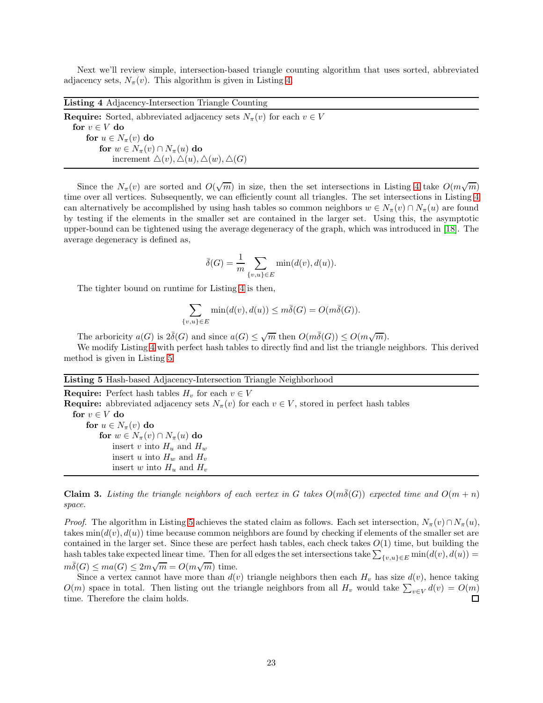Next we'll review simple, intersection-based triangle counting algorithm that uses sorted, abbreviated adjacency sets,  $N_{\pi}(v)$ . This algorithm is given in Listing [4.](#page-22-0)

<span id="page-22-0"></span>Listing 4 Adjacency-Intersection Triangle Counting **Require:** Sorted, abbreviated adjacency sets  $N_{\pi}(v)$  for each  $v \in V$ for  $v \in V$  do for  $u \in N_{\pi}(v)$  do for  $w \in N_{\pi}(v) \cap N_{\pi}(u)$  do increment  $\Delta(v), \Delta(u), \Delta(w), \Delta(G)$ 

Since the  $N_{\pi}(v)$  are sorted and  $O(\sqrt{m})$  in size, then the set intersections in Listing [4](#page-22-0) take  $O(m\sqrt{m})$ time over all vertices. Subsequently, we can efficiently count all triangles. The set intersections in Listing [4](#page-22-0) can alternatively be accomplished by using hash tables so common neighbors  $w \in N_\pi(v) \cap N_\pi(u)$  are found by testing if the elements in the smaller set are contained in the larger set. Using this, the asymptotic upper-bound can be tightened using the average degeneracy of the graph, which was introduced in [\[18\]](#page-32-2). The average degeneracy is defined as,

$$
\bar{\delta}(G) = \frac{1}{m} \sum_{\{v,u\} \in E} \min(d(v), d(u)).
$$

The tighter bound on runtime for Listing [4](#page-22-0) is then,

$$
\sum_{\{v,u\}\in E} \min(d(v), d(u)) \le m\overline{\delta}(G) = O(m\overline{\delta}(G)).
$$

The arboricity  $a(G)$  is  $2\overline{\delta}(G)$  and since  $a(G) \leq \sqrt{m}$  then  $O(m\overline{\delta}(G)) \leq O(m\sqrt{m})$ .

We modify Listing [4](#page-22-0) with perfect hash tables to directly find and list the triangle neighbors. This derived method is given in Listing [5.](#page-22-1)

### <span id="page-22-1"></span>Listing 5 Hash-based Adjacency-Intersection Triangle Neighborhood

**Require:** Perfect hash tables  $H_v$  for each  $v \in V$ **Require:** abbreviated adjacency sets  $N_{\pi}(v)$  for each  $v \in V$ , stored in perfect hash tables for  $v \in V$  do for  $u \in N_{\pi}(v)$  do for  $w \in N_{\pi}(v) \cap N_{\pi}(u)$  do insert v into  $H_u$  and  $H_w$ insert u into  $H_w$  and  $H_v$ insert w into  $H_u$  and  $H_v$ 

**Claim 3.** Listing the triangle neighbors of each vertex in G takes  $O(m\bar{\delta}(G))$  expected time and  $O(m + n)$ space.

*Proof.* The algorithm in Listing [5](#page-22-1) achieves the stated claim as follows. Each set intersection,  $N_{\pi}(v) \cap N_{\pi}(u)$ , takes  $min(d(v), d(u))$  time because common neighbors are found by checking if elements of the smaller set are contained in the larger set. Since these are perfect hash tables, each check takes  $O(1)$  time, but building the hash tables take expected linear time. Then for all edges the set intersections take  $\sum_{\{v,u\}\in E} \min(d(v), d(u)) =$  $m\bar{\delta}(G) \leq ma(G) \leq 2m\sqrt{m} = O(m\sqrt{m})$  time.

Since a vertex cannot have more than  $d(v)$  triangle neighbors then each  $H<sub>v</sub>$  has size  $d(v)$ , hence taking  $O(m)$  space in total. Then listing out the triangle neighbors from all  $H_v$  would take  $\sum_{v \in V} d(v) = O(m)$ time. Therefore the claim holds.  $\Box$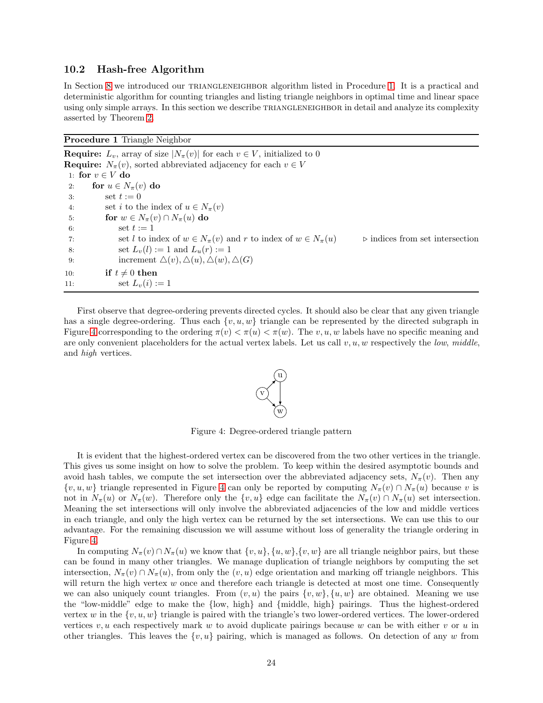#### <span id="page-23-2"></span>10.2 Hash-free Algorithm

In Section [8](#page-12-0) we introduced our TRIANGLENEIGHBOR algorithm listed in Procedure [1.](#page-23-0) It is a practical and deterministic algorithm for counting triangles and listing triangle neighbors in optimal time and linear space using only simple arrays. In this section we describe TRIANGLENEIGHBOR in detail and analyze its complexity asserted by Theorem [2.](#page-14-0)

<span id="page-23-0"></span>Procedure 1 Triangle Neighbor

**Require:**  $L_v$ , array of size  $|N_\pi(v)|$  for each  $v \in V$ , initialized to 0 **Require:**  $N_{\pi}(v)$ , sorted abbreviated adjacency for each  $v \in V$ 1: for  $v \in V$  do<br>2: for  $u \in N$ . 2: for  $u \in N_{\pi}(v)$  do<br>3: set  $t := 0$ set  $t := 0$ 4: set *i* to the index of  $u \in N_{\pi}(v)$ <br>5: **for**  $w \in N_{\pi}(v) \cap N_{\pi}(u)$  **do** 5: **for**  $w \in N_\pi(v) \cap N_\pi(u)$  do<br>6: **set**  $t := 1$ set  $t := 1$ 7: set *l* to index of  $w \in N_{\pi}(v)$  and  $r$  to index of  $w \in N_{\pi}(u)$  ⇒ indices from set intersection set  $L_v(l) := 1$  and  $L_u(r) := 1$ set  $L_v(l) := 1$  and  $L_u(r) := 1$ 9: increment  $\Delta(v)$ ,  $\Delta(u)$ ,  $\Delta(w)$ ,  $\Delta(G)$ 10: **if**  $t \neq 0$  **then**<br>11: **set**  $L_n(i)$ : set  $L_v(i) := 1$ 

<span id="page-23-1"></span>First observe that degree-ordering prevents directed cycles. It should also be clear that any given triangle has a single degree-ordering. Thus each  $\{v, u, w\}$  triangle can be represented by the directed subgraph in Figure [4](#page-23-1) corresponding to the ordering  $\pi(v) < \pi(u) < \pi(w)$ . The v, u, w labels have no specific meaning and are only convenient placeholders for the actual vertex labels. Let us call  $v, u, w$  respectively the low, middle, and high vertices.



Figure 4: Degree-ordered triangle pattern

It is evident that the highest-ordered vertex can be discovered from the two other vertices in the triangle. This gives us some insight on how to solve the problem. To keep within the desired asymptotic bounds and avoid hash tables, we compute the set intersection over the abbreviated adjacency sets,  $N_\pi(v)$ . Then any  $\{v, u, w\}$  triangle represented in Figure [4](#page-23-1) can only be reported by computing  $N_{\pi}(v) \cap N_{\pi}(u)$  because v is not in  $N_{\pi}(u)$  or  $N_{\pi}(w)$ . Therefore only the  $\{v, u\}$  edge can facilitate the  $N_{\pi}(v) \cap N_{\pi}(u)$  set intersection. Meaning the set intersections will only involve the abbreviated adjacencies of the low and middle vertices in each triangle, and only the high vertex can be returned by the set intersections. We can use this to our advantage. For the remaining discussion we will assume without loss of generality the triangle ordering in Figure [4.](#page-23-1)

In computing  $N_{\pi}(v) \cap N_{\pi}(u)$  we know that  $\{v, u\}$ ,  $\{u, w\}$ ,  $\{v, w\}$  are all triangle neighbor pairs, but these can be found in many other triangles. We manage duplication of triangle neighbors by computing the set intersection,  $N_{\pi}(v) \cap N_{\pi}(u)$ , from only the  $(v, u)$  edge orientation and marking off triangle neighbors. This will return the high vertex  $w$  once and therefore each triangle is detected at most one time. Consequently we can also uniquely count triangles. From  $(v, u)$  the pairs  $\{v, w\}$ ,  $\{u, w\}$  are obtained. Meaning we use the "low-middle" edge to make the {low, high} and {middle, high} pairings. Thus the highest-ordered vertex w in the  $\{v, u, w\}$  triangle is paired with the triangle's two lower-ordered vertices. The lower-ordered vertices  $v, u$  each respectively mark w to avoid duplicate pairings because w can be with either v or u in other triangles. This leaves the  $\{v, u\}$  pairing, which is managed as follows. On detection of any w from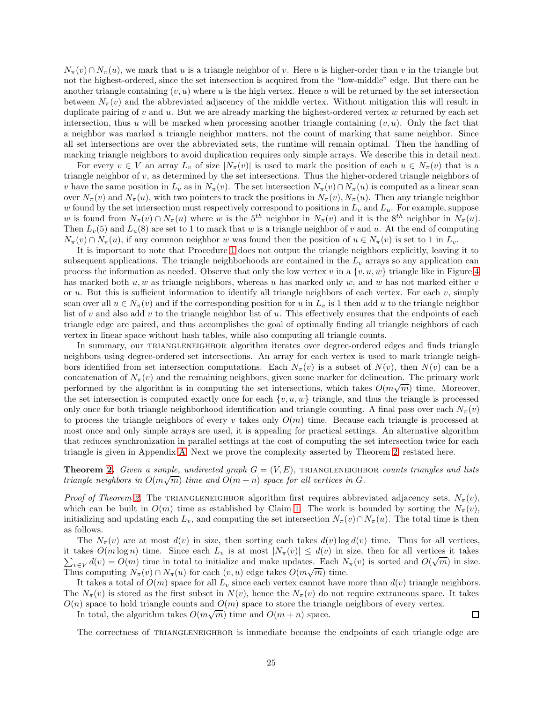$N_{\pi}(v) \cap N_{\pi}(u)$ , we mark that u is a triangle neighbor of v. Here u is higher-order than v in the triangle but not the highest-ordered, since the set intersection is acquired from the "low-middle" edge. But there can be another triangle containing  $(v, u)$  where u is the high vertex. Hence u will be returned by the set intersection between  $N_{\pi}(v)$  and the abbreviated adjacency of the middle vertex. Without mitigation this will result in duplicate pairing of  $v$  and  $u$ . But we are already marking the highest-ordered vertex  $w$  returned by each set intersection, thus u will be marked when processing another triangle containing  $(v, u)$ . Only the fact that a neighbor was marked a triangle neighbor matters, not the count of marking that same neighbor. Since all set intersections are over the abbreviated sets, the runtime will remain optimal. Then the handling of marking triangle neighbors to avoid duplication requires only simple arrays. We describe this in detail next.

For every  $v \in V$  an array  $L_v$  of size  $|N_\pi(v)|$  is used to mark the position of each  $u \in N_\pi(v)$  that is a triangle neighbor of v, as determined by the set intersections. Thus the higher-ordered triangle neighbors of v have the same position in  $L_v$  as in  $N_\pi(v)$ . The set intersection  $N_\pi(v) \cap N_\pi(u)$  is computed as a linear scan over  $N_{\pi}(v)$  and  $N_{\pi}(u)$ , with two pointers to track the positions in  $N_{\pi}(v)$ ,  $N_{\pi}(u)$ . Then any triangle neighbor w found by the set intersection must respectively correspond to positions in  $L_v$  and  $L_u$ . For example, suppose w is found from  $N_{\pi}(v) \cap N_{\pi}(u)$  where w is the  $5^{th}$  neighbor in  $N_{\pi}(v)$  and it is the  $8^{th}$  neighbor in  $N_{\pi}(u)$ . Then  $L_v(5)$  and  $L_u(8)$  are set to 1 to mark that w is a triangle neighbor of v and u. At the end of computing  $N_{\pi}(v) \cap N_{\pi}(u)$ , if any common neighbor w was found then the position of  $u \in N_{\pi}(v)$  is set to 1 in  $L_v$ .

It is important to note that Procedure [1](#page-23-0) does not output the triangle neighbors explicitly, leaving it to subsequent applications. The triangle neighborhoods are contained in the  $L_v$  arrays so any application can process the information as needed. Observe that only the low vertex v in a  $\{v, u, w\}$  triangle like in Figure [4](#page-23-1) has marked both  $u, w$  as triangle neighbors, whereas u has marked only w, and w has not marked either v or u. But this is sufficient information to identify all triangle neighbors of each vertex. For each  $v$ , simply scan over all  $u \in N_\pi(v)$  and if the corresponding position for u in  $L_v$  is 1 then add u to the triangle neighbor list of v and also add v to the triangle neighbor list of  $u$ . This effectively ensures that the endpoints of each triangle edge are paired, and thus accomplishes the goal of optimally finding all triangle neighbors of each vertex in linear space without hash tables, while also computing all triangle counts.

In summary, our TRIANGLENEIGHBOR algorithm iterates over degree-ordered edges and finds triangle neighbors using degree-ordered set intersections. An array for each vertex is used to mark triangle neighbors identified from set intersection computations. Each  $N_{\pi}(v)$  is a subset of  $N(v)$ , then  $N(v)$  can be a concatenation of  $N_{\pi}(v)$  and the remaining neighbors, given some marker for delineation. The primary work performed by the algorithm is in computing the set intersections, which takes  $O(m\sqrt{m})$  time. Moreover, the set intersection is computed exactly once for each  $\{v, u, w\}$  triangle, and thus the triangle is processed only once for both triangle neighborhood identification and triangle counting. A final pass over each  $N_\pi(v)$ to process the triangle neighbors of every v takes only  $O(m)$  time. Because each triangle is processed at most once and only simple arrays are used, it is appealing for practical settings. An alternative algorithm that reduces synchronization in parallel settings at the cost of computing the set intersection twice for each triangle is given in Appendix [A.](#page-36-1) Next we prove the complexity asserted by Theorem [2,](#page-14-0) restated here.

**Theorem [2.](#page-14-0)** Given a simple, undirected graph  $G = (V, E)$ , TRIANGLENEIGHBOR counts triangles and lists triangle neighbors in  $O(m\sqrt{m})$  time and  $O(m + n)$  space for all vertices in G.

*Proof of Theorem [2.](#page-14-0)* The TRIANGLENEIGHBOR algorithm first requires abbreviated adjacency sets,  $N_{\pi}(v)$ , which can be built in  $O(m)$  time as established by Claim [1.](#page-13-1) The work is bounded by sorting the  $N_{\pi}(v)$ , initializing and updating each  $L_v$ , and computing the set intersection  $N_\pi(v) \cap N_\pi(u)$ . The total time is then as follows.

The  $N_{\pi}(v)$  are at most  $d(v)$  in size, then sorting each takes  $d(v) \log d(v)$  time. Thus for all vertices,  $\sum_{v \in V} d(v) = O(m)$  time in total to initialize and make updates. Each  $N_{\pi}(v)$  is sorted and  $O(\sqrt{m})$  in size. it takes  $O(m \log n)$  time. Since each  $L_v$  is at most  $|N_\pi(v)| \leq d(v)$  in size, then for all vertices it takes Thus computing  $N_{\pi}(v) \cap N_{\pi}(u)$  for each  $(v, u)$  edge takes  $O(m\sqrt{m})$  time.

It takes a total of  $O(m)$  space for all  $L_v$  since each vertex cannot have more than  $d(v)$  triangle neighbors. The  $N_{\pi}(v)$  is stored as the first subset in  $N(v)$ , hence the  $N_{\pi}(v)$  do not require extraneous space. It takes  $O(n)$  space to hold triangle counts and  $O(m)$  space to store the triangle neighbors of every vertex.

In total, the algorithm takes  $O(m\sqrt{m})$  time and  $O(m+n)$  space.

The correctness of TRIANGLENEIGHBOR is immediate because the endpoints of each triangle edge are

 $\Box$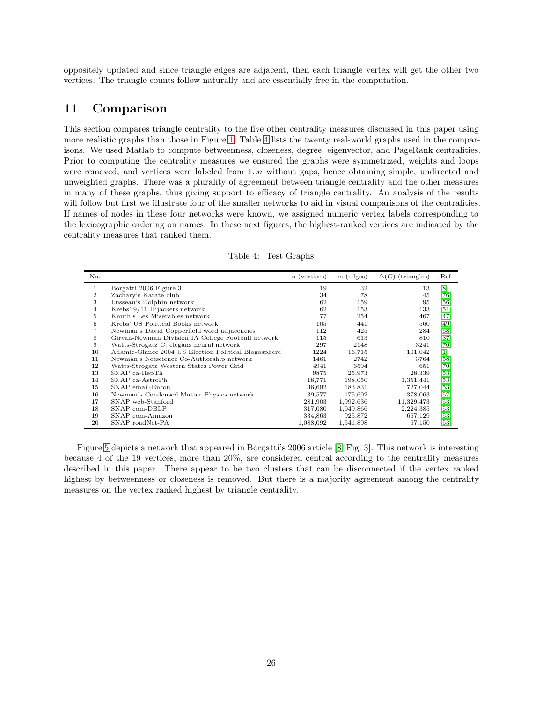oppositely updated and since triangle edges are adjacent, then each triangle vertex will get the other two vertices. The triangle counts follow naturally and are essentially free in the computation.

## <span id="page-25-0"></span>11 Comparison

This section compares triangle centrality to the five other centrality measures discussed in this paper using more realistic graphs than those in Figure [1.](#page-5-2) Table [4](#page-25-1) lists the twenty real-world graphs used in the comparisons. We used Matlab to compute betweenness, closeness, degree, eigenvector, and PageRank centralities. Prior to computing the centrality measures we ensured the graphs were symmetrized, weights and loops were removed, and vertices were labeled from  $1..n$  without gaps, hence obtaining simple, undirected and unweighted graphs. There was a plurality of agreement between triangle centrality and the other measures in many of these graphs, thus giving support to efficacy of triangle centrality. An analysis of the results will follow but first we illustrate four of the smaller networks to aid in visual comparisons of the centralities. If names of nodes in these four networks were known, we assigned numeric vertex labels corresponding to the lexicographic ordering on names. In these next figures, the highest-ranked vertices are indicated by the centrality measures that ranked them.

<span id="page-25-1"></span>

| No.            |                                                      | n (vertices) | m (edges) | $\Delta(G)$ (triangles) | Ref.                         |
|----------------|------------------------------------------------------|--------------|-----------|-------------------------|------------------------------|
| 1              | Borgatti 2006 Figure 3                               | 19           | 32        | 13                      | [8]                          |
| $\overline{2}$ | Zachary's Karate club                                | 34           | 78        | 45                      | [76]                         |
| 3              | Lusseau's Dolphin network                            | 62           | 159       | 95                      | [56]                         |
| 4              | Krebs' 9/11 Hijackers network                        | 62           | 153       | 133                     | [51]                         |
| 5.             | Knuth's Les Miserables network                       | 77           | 254       | 467                     | [47]                         |
| 6              | Krebs' US Political Books network                    | 105          | 441       | 560                     | [49]                         |
|                | Newman's David Copperfield word adjacencies          | 112          | 425       | 284                     | [58]                         |
| 8              | Girvan-Newman Division IA College Football network   | 115          | 613       | 810                     | [37]                         |
| 9              | Watts-Strogatz C. elegans neural network             | 297          | 2148      | 3241                    | [70]                         |
| 10             | Adamic-Glance 2004 US Election Political Blogosphere | 1224         | 16,715    | 101,042                 | $\left[1\right]$             |
| 11             | Newman's Netscience Co-Authorship network            | 1461         | 2742      | 3764                    | [58]                         |
| 12             | Watts-Strogatz Western States Power Grid             | 4941         | 6594      | 651                     | [70]                         |
| 13             | SNAP ca-HepTh                                        | 9875         | 25,973    | 28,339                  | $[53]$                       |
| 14             | SNAP ca-AstroPh                                      | 18,771       | 198,050   | 1,351,441               | [53]                         |
| 15             | SNAP email-Enron                                     | 36,692       | 183,831   | 727,044                 | [53]                         |
| 16             | Newman's Condensed Matter Physics network            | 39,577       | 175,692   | 378,063                 | [57]                         |
| 17             | SNAP web-Stanford                                    | 281,903      | 1,992,636 | 11,329,473              | [53]                         |
| 18             | SNAP com-DBLP                                        | 317,080      | 1,049,866 | 2,224,385               | [53]                         |
| 19             | SNAP com-Amazon                                      | 334,863      | 925,872   | 667,129                 | $\left[53\right]$            |
| 20             | SNAP roadNet-PA                                      | 1,088,092    | 1,541,898 | 67,150                  | $\left\lceil 53\right\rceil$ |

Table 4: Test Graphs

Figure [5](#page-26-0) depicts a network that appeared in Borgatti's 2006 article [\[8,](#page-32-16) Fig. 3]. This network is interesting because 4 of the 19 vertices, more than 20%, are considered central according to the centrality measures described in this paper. There appear to be two clusters that can be disconnected if the vertex ranked highest by betweenness or closeness is removed. But there is a majority agreement among the centrality measures on the vertex ranked highest by triangle centrality.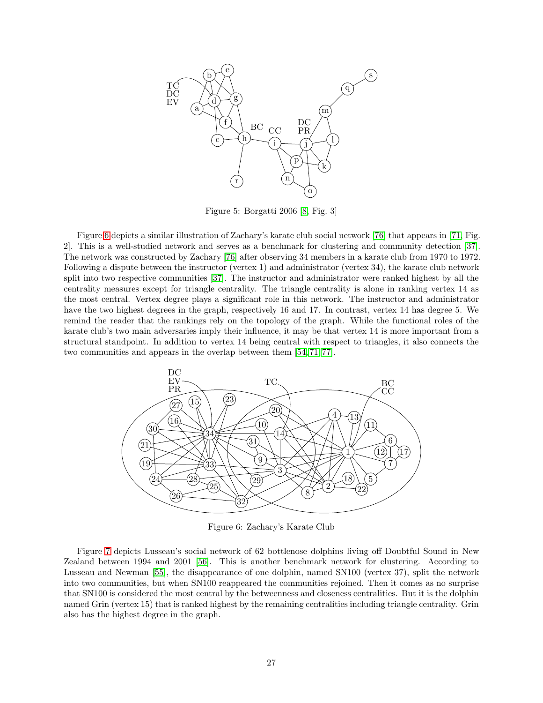<span id="page-26-0"></span>

Figure 5: Borgatti 2006 [\[8,](#page-32-16) Fig. 3]

Figure [6](#page-26-1) depicts a similar illustration of Zachary's karate club social network [\[76\]](#page-35-16) that appears in [\[71,](#page-35-17) Fig. 2]. This is a well-studied network and serves as a benchmark for clustering and community detection [\[37\]](#page-33-18). The network was constructed by Zachary [\[76\]](#page-35-16) after observing 34 members in a karate club from 1970 to 1972. Following a dispute between the instructor (vertex 1) and administrator (vertex 34), the karate club network split into two respective communities [\[37\]](#page-33-18). The instructor and administrator were ranked highest by all the centrality measures except for triangle centrality. The triangle centrality is alone in ranking vertex 14 as the most central. Vertex degree plays a significant role in this network. The instructor and administrator have the two highest degrees in the graph, respectively 16 and 17. In contrast, vertex 14 has degree 5. We remind the reader that the rankings rely on the topology of the graph. While the functional roles of the karate club's two main adversaries imply their influence, it may be that vertex 14 is more important from a structural standpoint. In addition to vertex 14 being central with respect to triangles, it also connects the two communities and appears in the overlap between them [\[54,](#page-34-16) [71,](#page-35-17) [77\]](#page-35-18).

<span id="page-26-1"></span>

Figure 6: Zachary's Karate Club

Figure [7](#page-27-0) depicts Lusseau's social network of 62 bottlenose dolphins living off Doubtful Sound in New Zealand between 1994 and 2001 [\[56\]](#page-34-10). This is another benchmark network for clustering. According to Lusseau and Newman [\[55\]](#page-34-17), the disappearance of one dolphin, named SN100 (vertex 37), split the network into two communities, but when SN100 reappeared the communities rejoined. Then it comes as no surprise that SN100 is considered the most central by the betweenness and closeness centralities. But it is the dolphin named Grin (vertex 15) that is ranked highest by the remaining centralities including triangle centrality. Grin also has the highest degree in the graph.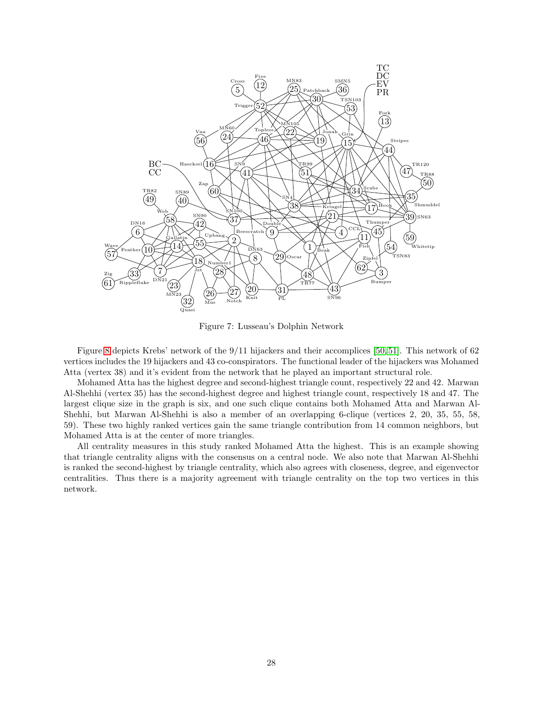<span id="page-27-0"></span>

Figure 7: Lusseau's Dolphin Network

Figure [8](#page-28-0) depicts Krebs' network of the 9/11 hijackers and their accomplices [\[50,](#page-34-18) [51\]](#page-34-11). This network of 62 vertices includes the 19 hijackers and 43 co-conspirators. The functional leader of the hijackers was Mohamed Atta (vertex 38) and it's evident from the network that he played an important structural role.

Mohamed Atta has the highest degree and second-highest triangle count, respectively 22 and 42. Marwan Al-Shehhi (vertex 35) has the second-highest degree and highest triangle count, respectively 18 and 47. The largest clique size in the graph is six, and one such clique contains both Mohamed Atta and Marwan Al-Shehhi, but Marwan Al-Shehhi is also a member of an overlapping 6-clique (vertices 2, 20, 35, 55, 58, 59). These two highly ranked vertices gain the same triangle contribution from 14 common neighbors, but Mohamed Atta is at the center of more triangles.

All centrality measures in this study ranked Mohamed Atta the highest. This is an example showing that triangle centrality aligns with the consensus on a central node. We also note that Marwan Al-Shehhi is ranked the second-highest by triangle centrality, which also agrees with closeness, degree, and eigenvector centralities. Thus there is a majority agreement with triangle centrality on the top two vertices in this network.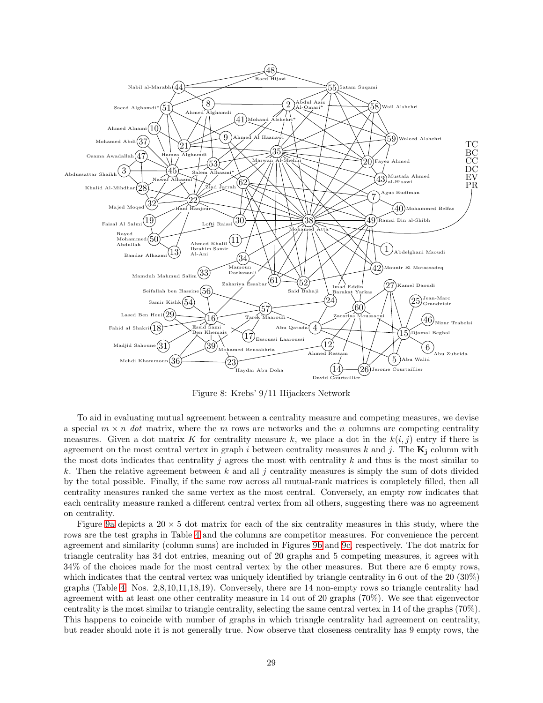<span id="page-28-0"></span>

Figure 8: Krebs' 9/11 Hijackers Network

To aid in evaluating mutual agreement between a centrality measure and competing measures, we devise a special  $m \times n$  dot matrix, where the m rows are networks and the n columns are competing centrality measures. Given a dot matrix K for centrality measure k, we place a dot in the  $k(i, j)$  entry if there is agreement on the most central vertex in graph i between centrality measures k and j. The  $K_i$  column with the most dots indicates that centrality j agrees the most with centrality k and thus is the most similar to k. Then the relative agreement between k and all j centrality measures is simply the sum of dots divided by the total possible. Finally, if the same row across all mutual-rank matrices is completely filled, then all centrality measures ranked the same vertex as the most central. Conversely, an empty row indicates that each centrality measure ranked a different central vertex from all others, suggesting there was no agreement on centrality.

Figure [9a](#page-29-0) depicts a  $20 \times 5$  dot matrix for each of the six centrality measures in this study, where the rows are the test graphs in Table [4](#page-25-1) and the columns are competitor measures. For convenience the percent agreement and similarity (column sums) are included in Figures [9b](#page-29-0) and [9c,](#page-29-0) respectively. The dot matrix for triangle centrality has 34 dot entries, meaning out of 20 graphs and 5 competing measures, it agrees with 34% of the choices made for the most central vertex by the other measures. But there are 6 empty rows, which indicates that the central vertex was uniquely identified by triangle centrality in 6 out of the 20 (30%) graphs (Table [4:](#page-25-1) Nos. 2,8,10,11,18,19). Conversely, there are 14 non-empty rows so triangle centrality had agreement with at least one other centrality measure in 14 out of 20 graphs (70%). We see that eigenvector centrality is the most similar to triangle centrality, selecting the same central vertex in 14 of the graphs (70%). This happens to coincide with number of graphs in which triangle centrality had agreement on centrality, but reader should note it is not generally true. Now observe that closeness centrality has 9 empty rows, the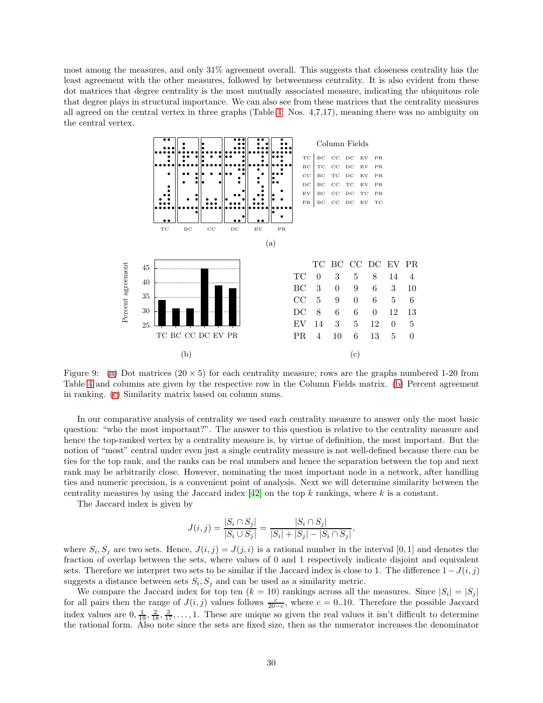<span id="page-29-0"></span>most among the measures, and only 31% agreement overall. This suggests that closeness centrality has the least agreement with the other measures, followed by betweenness centrality. It is also evident from these dot matrices that degree centrality is the most mutually associated measure, indicating the ubiquitous role that degree plays in structural importance. We can also see from these matrices that the centrality measures all agreed on the central vertex in three graphs (Table [4:](#page-25-1) Nos. 4,7,17), meaning there was no ambiguity on the central vertex.



Figure 9: [\(a\)](#page-29-0) Dot matrices  $(20 \times 5)$  for each centrality measure; rows are the graphs numbered 1-20 from Table [4](#page-25-1) and columns are given by the respective row in the Column Fields matrix. [\(b\)](#page-29-0) Percent agreement in ranking. [\(c\)](#page-29-0) Similarity matrix based on column sums.

In our comparative analysis of centrality we used each centrality measure to answer only the most basic question: "who the most important?". The answer to this question is relative to the centrality measure and hence the top-ranked vertex by a centrality measure is, by virtue of definition, the most important. But the notion of "most" central under even just a single centrality measure is not well-defined because there can be ties for the top rank, and the ranks can be real numbers and hence the separation between the top and next rank may be arbitrarily close. However, nominating the most important node in a network, after handling ties and numeric precision, is a convenient point of analysis. Next we will determine similarity between the centrality measures by using the Jaccard index  $[42]$  on the top k rankings, where k is a constant.

The Jaccard index is given by

$$
J(i,j) = \frac{|S_i \cap S_j|}{|S_i \cup S_j|} = \frac{|S_i \cap S_j|}{|S_i| + |S_j| - |S_i \cap S_j|},
$$

where  $S_i, S_j$  are two sets. Hence,  $J(i, j) = J(j, i)$  is a rational number in the interval [0, 1] and denotes the fraction of overlap between the sets, where values of 0 and 1 respectively indicate disjoint and equivalent sets. Therefore we interpret two sets to be similar if the Jaccard index is close to 1. The difference  $1-J(i, j)$ suggests a distance between sets  $S_i$ ,  $S_j$  and can be used as a similarity metric.

We compare the Jaccard index for top ten  $(k = 10)$  rankings across all the measures. Since  $|S_i| = |S_j|$ for all pairs then the range of  $J(i, j)$  values follows  $\frac{c}{20-c}$ , where  $c = 0.10$ . Therefore the possible Jaccard index values are  $0, \frac{1}{19}, \frac{2}{18}, \frac{3}{17}, \ldots, 1$ . These are unique so given the real values it isn't difficult to determine the rational form. Also note since the sets are fixed size, then as the numerator increases the denominator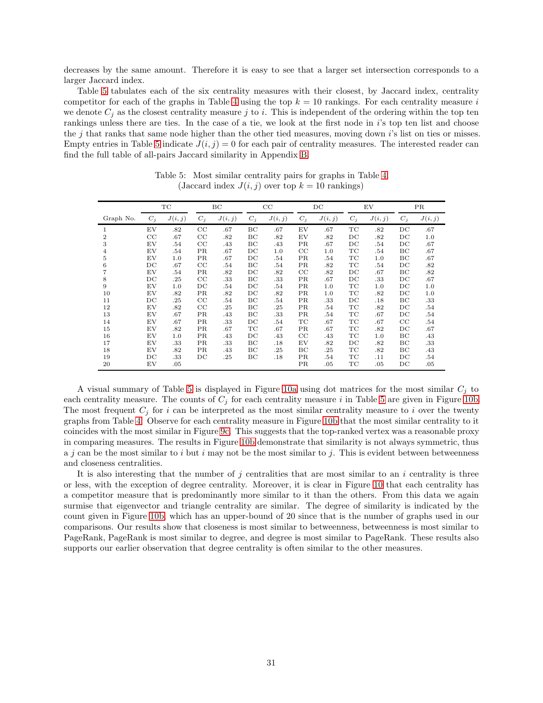decreases by the same amount. Therefore it is easy to see that a larger set intersection corresponds to a larger Jaccard index.

Table [5](#page-30-0) tabulates each of the six centrality measures with their closest, by Jaccard index, centrality competitor for each of the graphs in Table [4](#page-25-1) using the top  $k = 10$  rankings. For each centrality measure i we denote  $C_j$  as the closest centrality measure j to i. This is independent of the ordering within the top ten rankings unless there are ties. In the case of a tie, we look at the first node in i's top ten list and choose the j that ranks that same node higher than the other tied measures, moving down i's list on ties or misses. Empty entries in Table [5](#page-30-0) indicate  $J(i, j) = 0$  for each pair of centrality measures. The interested reader can find the full table of all-pairs Jaccard similarity in Appendix [B.](#page-37-0)

<span id="page-30-0"></span>

|                |             | TC      |             | ВC      |             | CC      |             |         |             | $_{\rm DC}$ |             | EV      |  | <b>PR</b> |
|----------------|-------------|---------|-------------|---------|-------------|---------|-------------|---------|-------------|-------------|-------------|---------|--|-----------|
| Graph No.      | $C_i$       | J(i, j) | $C_i$       | J(i, j) | $C_i$       | J(i, j) | $C_i$       | J(i, j) | $C_i$       | J(i, j)     | $C_j$       | J(i, j) |  |           |
|                | EV          | .82     | CC          | .67     | BC          | .67     | EV          | .67     | TC          | .82         | $_{\rm DC}$ | .67     |  |           |
| $\overline{2}$ | $_{\rm CC}$ | .67     | CC          | .82     | BC          | .82     | EV          | .82     | DC          | .82         | DC          | 1.0     |  |           |
| 3              | EV          | .54     | CC          | .43     | BС          | .43     | ΡR          | .67     | $_{\rm DC}$ | .54         | $_{\rm DC}$ | .67     |  |           |
| 4              | EV          | .54     | PR          | .67     | DC          | 1.0     | $_{\rm CC}$ | 1.0     | ТC          | .54         | BC          | .67     |  |           |
| 5              | EV          | 1.0     | PR          | .67     | $_{\rm DC}$ | .54     | ΡR          | .54     | ТC          | 1.0         | BC          | .67     |  |           |
| 6              | $_{\rm DC}$ | .67     | CC          | .54     | BC          | .54     | PR.         | .82     | TC          | .54         | DC          | .82     |  |           |
|                | EV          | .54     | PR          | .82     | DC          | .82     | $_{\rm CC}$ | .82     | DC          | .67         | BC          | .82     |  |           |
| 8              | $_{\rm DC}$ | .25     | CC          | .33     | BC          | .33     | ΡR          | .67     | DC          | .33         | $_{\rm DC}$ | .67     |  |           |
| 9              | EV          | 1.0     | $_{\rm DC}$ | .54     | DC          | .54     | ΡR          | 1.0     | ТC          | 1.0         | DC          | 1.0     |  |           |
| 10             | EV          | .82     | PR          | .82     | $_{\rm DC}$ | .82     | ΡR          | 1.0     | TC          | .82         | $_{\rm DC}$ | 1.0     |  |           |
| 11             | $_{\rm DC}$ | .25     | CC          | .54     | BC          | .54     | ΡR          | .33     | $_{\rm DC}$ | .18         | BС          | .33     |  |           |
| 12             | EV          | .82     | CC          | .25     | BC          | .25     | ΡR          | .54     | TC          | .82         | $_{\rm DC}$ | .54     |  |           |
| 13             | EV          | .67     | PR          | .43     | BС          | .33     | ΡR          | .54     | ТC          | .67         | $_{\rm DC}$ | .54     |  |           |
| 14             | EV          | .67     | PR          | .33     | $_{\rm DC}$ | .54     | ТC          | .67     | TC          | .67         | CC          | .54     |  |           |
| 15             | EV          | .82     | PR          | .67     | TC          | .67     | ΡR          | .67     | ТC          | .82         | $_{\rm DC}$ | .67     |  |           |
| 16             | EV          | 1.0     | PR          | .43     | $_{\rm DC}$ | .43     | $_{\rm CC}$ | .43     | ТC          | 1.0         | BC          | .43     |  |           |
| 17             | EV          | .33     | <b>PR</b>   | .33     | BC          | .18     | EV          | .82     | $_{\rm DC}$ | .82         | BC          | .33     |  |           |
| 18             | EV          | .82     | PR          | .43     | BC          | .25     | BС          | .25     | ТC          | .82         | BC          | .43     |  |           |
| 19             | DC          | .33     | DC          | .25     | BС          | .18     | ΡR          | .54     | ТC          | .11         | DC          | .54     |  |           |
| 20             | EV          | .05     |             |         |             |         | ΡR          | .05     | TC          | .05         | $_{\rm DC}$ | .05     |  |           |

Table 5: Most similar centrality pairs for graphs in Table [4.](#page-25-1) (Jaccard index  $J(i, j)$  over top  $k = 10$  rankings)

A visual summary of Table [5](#page-30-0) is displayed in Figure [10a](#page-31-1) using dot matrices for the most similar  $C_j$  to each centrality measure. The counts of  $C_j$  for each centrality measure i in Table [5](#page-30-0) are given in Figure [10b.](#page-31-1) The most frequent  $C_i$  for i can be interpreted as the most similar centrality measure to i over the twenty graphs from Table [4.](#page-25-1) Observe for each centrality measure in Figure [10b](#page-31-1) that the most similar centrality to it coincides with the most similar in Figure [9c.](#page-29-0) This suggests that the top-ranked vertex was a reasonable proxy in comparing measures. The results in Figure [10b](#page-31-1) demonstrate that similarity is not always symmetric, thus a j can be the most similar to i but i may not be the most similar to j. This is evident between betweenness and closeness centralities.

It is also interesting that the number of  $j$  centralities that are most similar to an  $i$  centrality is three or less, with the exception of degree centrality. Moreover, it is clear in Figure [10](#page-31-1) that each centrality has a competitor measure that is predominantly more similar to it than the others. From this data we again surmise that eigenvector and triangle centrality are similar. The degree of similarity is indicated by the count given in Figure [10b,](#page-31-1) which has an upper-bound of 20 since that is the number of graphs used in our comparisons. Our results show that closeness is most similar to betweenness, betweenness is most similar to PageRank, PageRank is most similar to degree, and degree is most similar to PageRank. These results also supports our earlier observation that degree centrality is often similar to the other measures.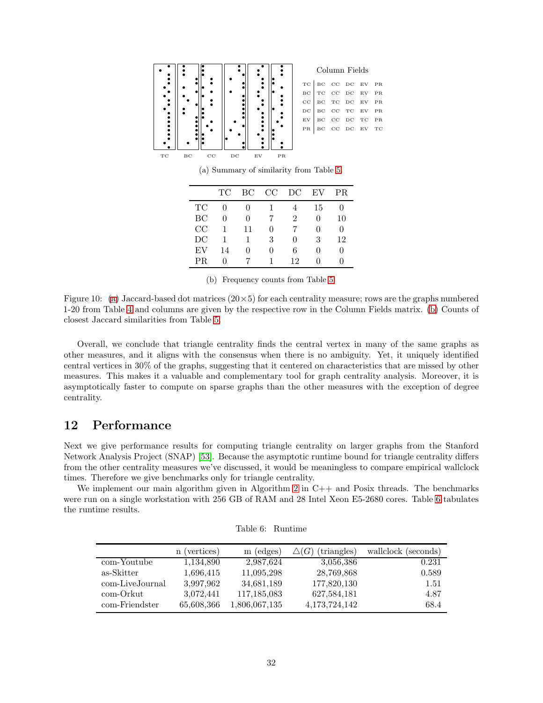<span id="page-31-1"></span>

(a) Summary of similarity from Table [5.](#page-30-0)

|     | $\protect\operatorname{TC}$ | BC | CC                | DC             | EV | <b>PR</b> |
|-----|-----------------------------|----|-------------------|----------------|----|-----------|
| TC  |                             |    |                   |                | 15 | 0         |
| BC  | 0                           | 0  |                   | $\mathfrak{D}$ | 0  | 10        |
| CC  | 1                           | 11 | $\mathbf{\Omega}$ |                | Ω  | $\theta$  |
| DC  | 1                           |    | 3                 | $\mathbf{0}$   | 3  | 12        |
| EV  | 14                          | Ω  | 0                 | 6              | Ω  | 0         |
| PR. | 0                           |    |                   | 12             |    | 0         |

(b) Frequency counts from Table [5.](#page-30-0)

Figure 10: [\(a\)](#page-29-0) Jaccard-based dot matrices  $(20 \times 5)$  for each centrality measure; rows are the graphs numbered 1-20 from Table [4](#page-25-1) and columns are given by the respective row in the Column Fields matrix. [\(b\)](#page-31-1) Counts of closest Jaccard similarities from Table [5.](#page-30-0)

Overall, we conclude that triangle centrality finds the central vertex in many of the same graphs as other measures, and it aligns with the consensus when there is no ambiguity. Yet, it uniquely identified central vertices in 30% of the graphs, suggesting that it centered on characteristics that are missed by other measures. This makes it a valuable and complementary tool for graph centrality analysis. Moreover, it is asymptotically faster to compute on sparse graphs than the other measures with the exception of degree centrality.

## <span id="page-31-0"></span>12 Performance

Next we give performance results for computing triangle centrality on larger graphs from the Stanford Network Analysis Project (SNAP) [\[53\]](#page-34-15). Because the asymptotic runtime bound for triangle centrality differs from the other centrality measures we've discussed, it would be meaningless to compare empirical wallclock times. Therefore we give benchmarks only for triangle centrality.

<span id="page-31-2"></span>We implement our main algorithm given in Algorithm [2](#page-36-0) in  $C++$  and Posix threads. The benchmarks were run on a single workstation with 256 GB of RAM and 28 Intel Xeon E5-2680 cores. Table [6](#page-31-2) tabulates the runtime results.

|                 | (vertices)<br>n | $(\text{edges})$<br>m | (triangles)<br>(G) | wallclock (seconds) |
|-----------------|-----------------|-----------------------|--------------------|---------------------|
| com-Youtube     | 1,134,890       | 2,987,624             | 3.056.386          | 0.231               |
| as-Skitter      | 1,696,415       | 11,095,298            | 28,769,868         | 0.589               |
| com-LiveJournal | 3,997,962       | 34,681,189            | 177,820,130        | 1.51                |
| com-Orkut       | 3,072,441       | 117,185,083           | 627,584,181        | 4.87                |
| com-Friendster  | 65,608,366      | 1,806,067,135         | 4, 173, 724, 142   | 68.4                |

| Table 6: | Runtime |
|----------|---------|
|          |         |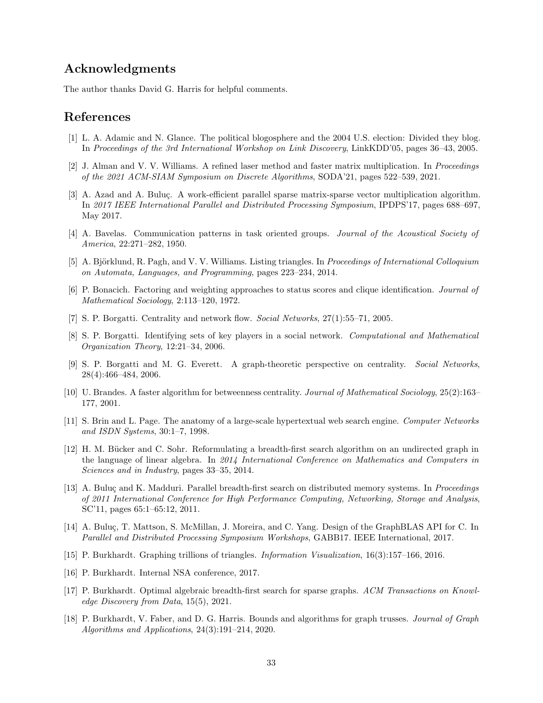## Acknowledgments

The author thanks David G. Harris for helpful comments.

## <span id="page-32-17"></span>References

- <span id="page-32-15"></span>[1] L. A. Adamic and N. Glance. The political blogosphere and the 2004 U.S. election: Divided they blog. In Proceedings of the 3rd International Workshop on Link Discovery, LinkKDD'05, pages 36–43, 2005.
- <span id="page-32-10"></span>[2] J. Alman and V. V. Williams. A refined laser method and faster matrix multiplication. In Proceedings of the 2021 ACM-SIAM Symposium on Discrete Algorithms, SODA'21, pages 522–539, 2021.
- [3] A. Azad and A. Buluc. A work-efficient parallel sparse matrix-sparse vector multiplication algorithm. In 2017 IEEE International Parallel and Distributed Processing Symposium, IPDPS'17, pages 688–697, May 2017.
- <span id="page-32-6"></span><span id="page-32-4"></span>[4] A. Bavelas. Communication patterns in task oriented groups. Journal of the Acoustical Society of America, 22:271–282, 1950.
- <span id="page-32-7"></span>[5] A. Björklund, R. Pagh, and V. V. Williams. Listing triangles. In Proceedings of International Colloquium on Automata, Languages, and Programming, pages 223–234, 2014.
- <span id="page-32-0"></span>[6] P. Bonacich. Factoring and weighting approaches to status scores and clique identification. Journal of Mathematical Sociology, 2:113–120, 1972.
- <span id="page-32-16"></span>[7] S. P. Borgatti. Centrality and network flow. Social Networks, 27(1):55–71, 2005.
- [8] S. P. Borgatti. Identifying sets of key players in a social network. Computational and Mathematical Organization Theory, 12:21–34, 2006.
- <span id="page-32-1"></span>[9] S. P. Borgatti and M. G. Everett. A graph-theoretic perspective on centrality. Social Networks, 28(4):466–484, 2006.
- <span id="page-32-9"></span>[10] U. Brandes. A faster algorithm for betweenness centrality. Journal of Mathematical Sociology, 25(2):163– 177, 2001.
- <span id="page-32-8"></span>[11] S. Brin and L. Page. The anatomy of a large-scale hypertextual web search engine. Computer Networks and ISDN Systems, 30:1–7, 1998.
- <span id="page-32-11"></span>[12] H. M. Bücker and C. Sohr. Reformulating a breadth-first search algorithm on an undirected graph in the language of linear algebra. In 2014 International Conference on Mathematics and Computers in Sciences and in Industry, pages 33–35, 2014.
- <span id="page-32-12"></span>[13] A. Buluç and K. Madduri. Parallel breadth-first search on distributed memory systems. In Proceedings of 2011 International Conference for High Performance Computing, Networking, Storage and Analysis, SC'11, pages 65:1–65:12, 2011.
- <span id="page-32-14"></span>[14] A. Buluç, T. Mattson, S. McMillan, J. Moreira, and C. Yang. Design of the GraphBLAS API for C. In Parallel and Distributed Processing Symposium Workshops, GABB17. IEEE International, 2017.
- <span id="page-32-5"></span><span id="page-32-3"></span>[15] P. Burkhardt. Graphing trillions of triangles. Information Visualization, 16(3):157–166, 2016.
- <span id="page-32-13"></span>[16] P. Burkhardt. Internal NSA conference, 2017.
- [17] P. Burkhardt. Optimal algebraic breadth-first search for sparse graphs. ACM Transactions on Knowledge Discovery from Data, 15(5), 2021.
- <span id="page-32-2"></span>[18] P. Burkhardt, V. Faber, and D. G. Harris. Bounds and algorithms for graph trusses. Journal of Graph Algorithms and Applications, 24(3):191–214, 2020.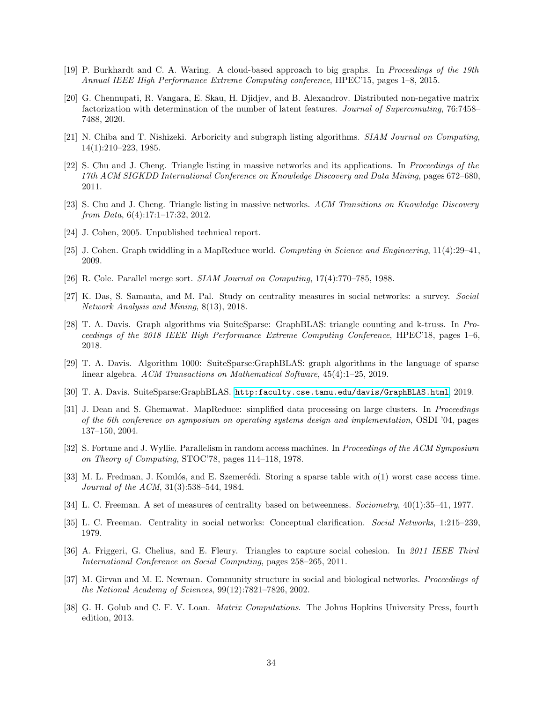- <span id="page-33-17"></span><span id="page-33-16"></span>[19] P. Burkhardt and C. A. Waring. A cloud-based approach to big graphs. In Proceedings of the 19th Annual IEEE High Performance Extreme Computing conference, HPEC'15, pages 1–8, 2015.
- [20] G. Chennupati, R. Vangara, E. Skau, H. Djidjev, and B. Alexandrov. Distributed non-negative matrix factorization with determination of the number of latent features. Journal of Supercomuting, 76:7458– 7488, 2020.
- <span id="page-33-9"></span><span id="page-33-4"></span>[21] N. Chiba and T. Nishizeki. Arboricity and subgraph listing algorithms. SIAM Journal on Computing, 14(1):210–223, 1985.
- [22] S. Chu and J. Cheng. Triangle listing in massive networks and its applications. In Proceedings of the 17th ACM SIGKDD International Conference on Knowledge Discovery and Data Mining, pages 672–680, 2011.
- <span id="page-33-5"></span>[23] S. Chu and J. Cheng. Triangle listing in massive networks. ACM Transitions on Knowledge Discovery from Data, 6(4):17:1–17:32, 2012.
- <span id="page-33-3"></span><span id="page-33-2"></span>[24] J. Cohen, 2005. Unpublished technical report.
- <span id="page-33-14"></span>[25] J. Cohen. Graph twiddling in a MapReduce world. Computing in Science and Engineering, 11(4):29–41, 2009.
- <span id="page-33-0"></span>[26] R. Cole. Parallel merge sort. SIAM Journal on Computing, 17(4):770–785, 1988.
- [27] K. Das, S. Samanta, and M. Pal. Study on centrality measures in social networks: a survey. Social Network Analysis and Mining, 8(13), 2018.
- <span id="page-33-11"></span>[28] T. A. Davis. Graph algorithms via SuiteSparse: GraphBLAS: triangle counting and k-truss. In Proceedings of the 2018 IEEE High Performance Extreme Computing Conference, HPEC'18, pages 1–6, 2018.
- [29] T. A. Davis. Algorithm 1000: SuiteSparse:GraphBLAS: graph algorithms in the language of sparse linear algebra. ACM Transactions on Mathematical Software, 45(4):1–25, 2019.
- <span id="page-33-15"></span><span id="page-33-12"></span>[30] T. A. Davis. SuiteSparse:GraphBLAS. <http:faculty.cse.tamu.edu/davis/GraphBLAS.html>, 2019.
- [31] J. Dean and S. Ghemawat. MapReduce: simplified data processing on large clusters. In Proceedings of the 6th conference on symposium on operating systems design and implementation, OSDI '04, pages 137–150, 2004.
- <span id="page-33-13"></span>[32] S. Fortune and J. Wyllie. Parallelism in random access machines. In Proceedings of the ACM Symposium on Theory of Computing, STOC'78, pages 114–118, 1978.
- <span id="page-33-10"></span>[33] M. L. Fredman, J. Komlós, and E. Szemerédi. Storing a sparse table with  $o(1)$  worst case access time. Journal of the ACM, 31(3):538–544, 1984.
- <span id="page-33-7"></span><span id="page-33-6"></span>[34] L. C. Freeman. A set of measures of centrality based on betweenness. Sociometry, 40(1):35–41, 1977.
- <span id="page-33-1"></span>[35] L. C. Freeman. Centrality in social networks: Conceptual clarification. Social Networks, 1:215–239, 1979.
- [36] A. Friggeri, G. Chelius, and E. Fleury. Triangles to capture social cohesion. In 2011 IEEE Third International Conference on Social Computing, pages 258–265, 2011.
- <span id="page-33-18"></span>[37] M. Girvan and M. E. Newman. Community structure in social and biological networks. Proceedings of the National Academy of Sciences, 99(12):7821–7826, 2002.
- <span id="page-33-8"></span>[38] G. H. Golub and C. F. V. Loan. Matrix Computations. The Johns Hopkins University Press, fourth edition, 2013.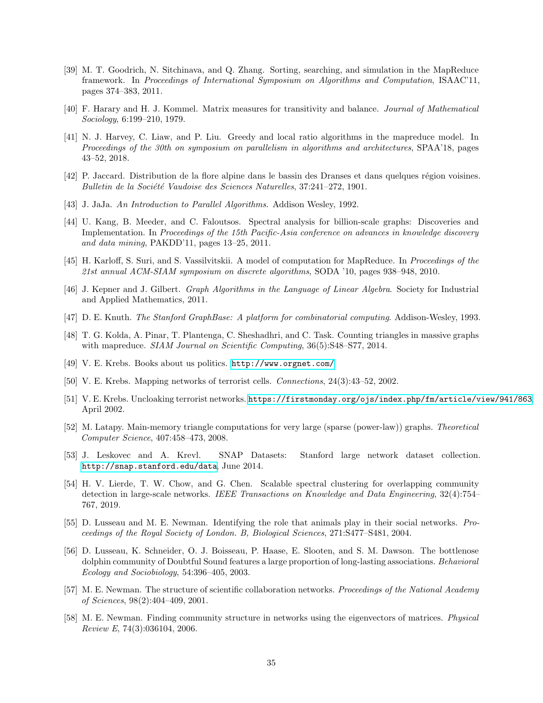- <span id="page-34-4"></span>[39] M. T. Goodrich, N. Sitchinava, and Q. Zhang. Sorting, searching, and simulation in the MapReduce framework. In Proceedings of International Symposium on Algorithms and Computation, ISAAC'11. pages 374–383, 2011.
- <span id="page-34-9"></span><span id="page-34-6"></span>[40] F. Harary and H. J. Kommel. Matrix measures for transitivity and balance. Journal of Mathematical Sociology, 6:199–210, 1979.
- [41] N. J. Harvey, C. Liaw, and P. Liu. Greedy and local ratio algorithms in the mapreduce model. In Proceedings of the 30th on symposium on parallelism in algorithms and architectures, SPAA'18, pages 43–52, 2018.
- <span id="page-34-19"></span><span id="page-34-3"></span>[42] P. Jaccard. Distribution de la flore alpine dans le bassin des Dranses et dans quelques région voisines. Bulletin de la Société Vaudoise des Sciences Naturelles,  $37:241-272$ , 1901.
- <span id="page-34-7"></span>[43] J. JaJa. An Introduction to Parallel Algorithms. Addison Wesley, 1992.
- [44] U. Kang, B. Meeder, and C. Faloutsos. Spectral analysis for billion-scale graphs: Discoveries and Implementation. In Proceedings of the 15th Pacific-Asia conference on advances in knowledge discovery and data mining, PAKDD'11, pages 13–25, 2011.
- <span id="page-34-5"></span><span id="page-34-2"></span>[45] H. Karloff, S. Suri, and S. Vassilvitskii. A model of computation for MapReduce. In Proceedings of the 21st annual ACM-SIAM symposium on discrete algorithms, SODA '10, pages 938–948, 2010.
- <span id="page-34-12"></span>[46] J. Kepner and J. Gilbert. Graph Algorithms in the Language of Linear Algebra. Society for Industrial and Applied Mathematics, 2011.
- <span id="page-34-8"></span>[47] D. E. Knuth. The Stanford GraphBase: A platform for combinatorial computing. Addison-Wesley, 1993.
- [48] T. G. Kolda, A. Pinar, T. Plantenga, C. Sheshadhri, and C. Task. Counting triangles in massive graphs with mapreduce. *SIAM Journal on Scientific Computing*, 36(5):S48–S77, 2014.
- <span id="page-34-18"></span><span id="page-34-13"></span>[49] V. E. Krebs. Books about us politics. <http://www.orgnet.com/>.
- <span id="page-34-11"></span>[50] V. E. Krebs. Mapping networks of terrorist cells. Connections, 24(3):43–52, 2002.
- [51] V. E. Krebs. Uncloaking terrorist networks. <https://firstmonday.org/ojs/index.php/fm/article/view/941/863>, April 2002.
- <span id="page-34-1"></span>[52] M. Latapy. Main-memory triangle computations for very large (sparse (power-law)) graphs. Theoretical Computer Science, 407:458–473, 2008.
- <span id="page-34-15"></span>[53] J. Leskovec and A. Krevl. SNAP Datasets: Stanford large network dataset collection. <http://snap.stanford.edu/data>, June 2014.
- <span id="page-34-16"></span>[54] H. V. Lierde, T. W. Chow, and G. Chen. Scalable spectral clustering for overlapping community detection in large-scale networks. IEEE Transactions on Knowledge and Data Engineering, 32(4):754– 767, 2019.
- <span id="page-34-17"></span>[55] D. Lusseau and M. E. Newman. Identifying the role that animals play in their social networks. Proceedings of the Royal Society of London. B, Biological Sciences, 271:S477–S481, 2004.
- <span id="page-34-10"></span>[56] D. Lusseau, K. Schneider, O. J. Boisseau, P. Haase, E. Slooten, and S. M. Dawson. The bottlenose dolphin community of Doubtful Sound features a large proportion of long-lasting associations. Behavioral Ecology and Sociobiology, 54:396–405, 2003.
- <span id="page-34-0"></span>[57] M. E. Newman. The structure of scientific collaboration networks. Proceedings of the National Academy of Sciences, 98(2):404–409, 2001.
- <span id="page-34-14"></span>[58] M. E. Newman. Finding community structure in networks using the eigenvectors of matrices. Physical Review E, 74(3):036104, 2006.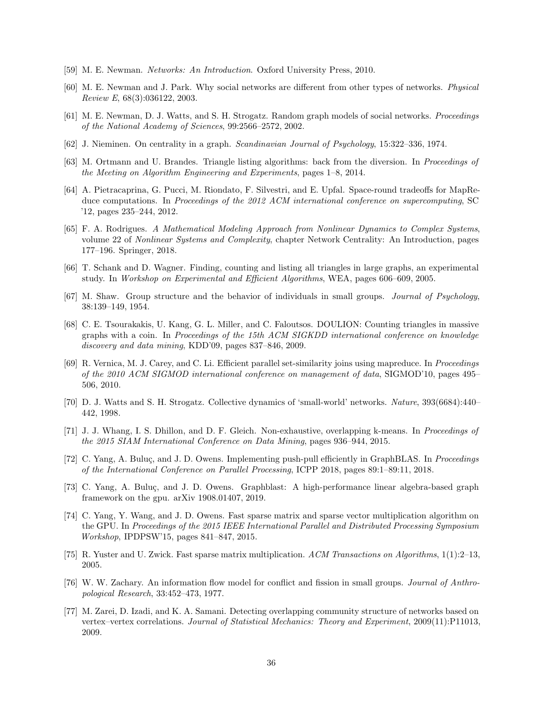- <span id="page-35-3"></span><span id="page-35-0"></span>[59] M. E. Newman. Networks: An Introduction. Oxford University Press, 2010.
- [60] M. E. Newman and J. Park. Why social networks are different from other types of networks. Physical Review E, 68(3):036122, 2003.
- <span id="page-35-8"></span><span id="page-35-4"></span>[61] M. E. Newman, D. J. Watts, and S. H. Strogatz. Random graph models of social networks. Proceedings of the National Academy of Sciences, 99:2566–2572, 2002.
- <span id="page-35-5"></span>[62] J. Nieminen. On centrality in a graph. Scandinavian Journal of Psychology, 15:322–336, 1974.
- <span id="page-35-13"></span>[63] M. Ortmann and U. Brandes. Triangle listing algorithms: back from the diversion. In Proceedings of the Meeting on Algorithm Engineering and Experiments, pages 1–8, 2014.
- [64] A. Pietracaprina, G. Pucci, M. Riondato, F. Silvestri, and E. Upfal. Space-round tradeoffs for MapReduce computations. In Proceedings of the 2012 ACM international conference on supercomputing, SC '12, pages 235–244, 2012.
- <span id="page-35-1"></span>[65] F. A. Rodrigues. A Mathematical Modeling Approach from Nonlinear Dynamics to Complex Systems, volume 22 of Nonlinear Systems and Complexity, chapter Network Centrality: An Introduction, pages 177–196. Springer, 2018.
- <span id="page-35-9"></span><span id="page-35-6"></span>[66] T. Schank and D. Wagner. Finding, counting and listing all triangles in large graphs, an experimental study. In Workshop on Experimental and Efficient Algorithms, WEA, pages 606–609, 2005.
- <span id="page-35-14"></span>[67] M. Shaw. Group structure and the behavior of individuals in small groups. Journal of Psychology, 38:139–149, 1954.
- [68] C. E. Tsourakakis, U. Kang, G. L. Miller, and C. Faloutsos. DOULION: Counting triangles in massive graphs with a coin. In Proceedings of the 15th ACM SIGKDD international conference on knowledge discovery and data mining, KDD'09, pages 837–846, 2009.
- <span id="page-35-15"></span>[69] R. Vernica, M. J. Carey, and C. Li. Efficient parallel set-similarity joins using mapreduce. In Proceedings of the 2010 ACM SIGMOD international conference on management of data, SIGMOD'10, pages 495– 506, 2010.
- <span id="page-35-2"></span>[70] D. J. Watts and S. H. Strogatz. Collective dynamics of 'small-world' networks. Nature, 393(6684):440– 442, 1998.
- <span id="page-35-17"></span>[71] J. J. Whang, I. S. Dhillon, and D. F. Gleich. Non-exhaustive, overlapping k-means. In Proceedings of the 2015 SIAM International Conference on Data Mining, pages 936–944, 2015.
- <span id="page-35-12"></span>[72] C. Yang, A. Buluç, and J. D. Owens. Implementing push-pull efficiently in GraphBLAS. In *Proceedings* of the International Conference on Parallel Processing, ICPP 2018, pages 89:1–89:11, 2018.
- <span id="page-35-10"></span>[73] C. Yang, A. Buluç, and J. D. Owens. Graphblast: A high-performance linear algebra-based graph framework on the gpu. arXiv 1908.01407, 2019.
- <span id="page-35-11"></span>[74] C. Yang, Y. Wang, and J. D. Owens. Fast sparse matrix and sparse vector multiplication algorithm on the GPU. In Proceedings of the 2015 IEEE International Parallel and Distributed Processing Symposium Workshop, IPDPSW'15, pages 841–847, 2015.
- <span id="page-35-16"></span><span id="page-35-7"></span>[75] R. Yuster and U. Zwick. Fast sparse matrix multiplication. ACM Transactions on Algorithms, 1(1):2–13, 2005.
- [76] W. W. Zachary. An information flow model for conflict and fission in small groups. Journal of Anthropological Research, 33:452–473, 1977.
- <span id="page-35-18"></span>[77] M. Zarei, D. Izadi, and K. A. Samani. Detecting overlapping community structure of networks based on vertex–vertex correlations. Journal of Statistical Mechanics: Theory and Experiment, 2009(11):P11013, 2009.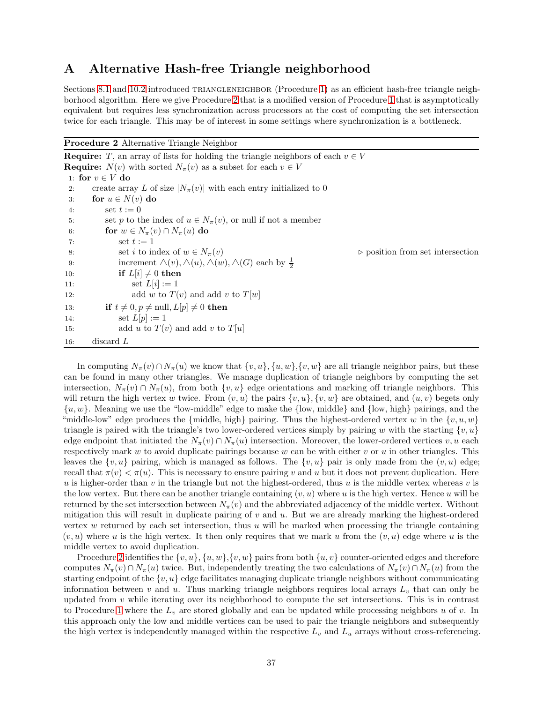## <span id="page-36-1"></span>A Alternative Hash-free Triangle neighborhood

Sections [8.1](#page-14-2) and [10.2](#page-23-2) introduced TRIANGLENEIGHBOR (Procedure [1\)](#page-23-0) as an efficient hash-free triangle neighborhood algorithm. Here we give Procedure [2](#page-36-0) that is a modified version of Procedure [1](#page-23-0) that is asymptotically equivalent but requires less synchronization across processors at the cost of computing the set intersection twice for each triangle. This may be of interest in some settings where synchronization is a bottleneck.

<span id="page-36-0"></span>

| <b>Procedure 2</b> Alternative Triangle Neighbor |  |  |  |
|--------------------------------------------------|--|--|--|
|--------------------------------------------------|--|--|--|

|     | <b>Require:</b> T, an array of lists for holding the triangle neighbors of each $v \in V$ |                                                 |
|-----|-------------------------------------------------------------------------------------------|-------------------------------------------------|
|     | <b>Require:</b> $N(v)$ with sorted $N_{\pi}(v)$ as a subset for each $v \in V$            |                                                 |
|     | 1: for $v \in V$ do                                                                       |                                                 |
| 2:  | create array L of size $ N_{\pi}(v) $ with each entry initialized to 0                    |                                                 |
| 3:  | for $u \in N(v)$ do                                                                       |                                                 |
| 4:  | set $t := 0$                                                                              |                                                 |
| 5:  | set p to the index of $u \in N_{\pi}(v)$ , or null if not a member                        |                                                 |
| 6:  | for $w \in N_{\pi}(v) \cap N_{\pi}(u)$ do                                                 |                                                 |
| 7:  | set $t := 1$                                                                              |                                                 |
| 8:  | set <i>i</i> to index of $w \in N_{\pi}(v)$                                               | $\triangleright$ position from set intersection |
| 9:  | increment $\Delta(v)$ , $\Delta(u)$ , $\Delta(w)$ , $\Delta(G)$ each by $\frac{1}{2}$     |                                                 |
| 10: | if $L[i] \neq 0$ then                                                                     |                                                 |
| 11: | set $L[i] := 1$                                                                           |                                                 |
| 12: | add w to $T(v)$ and add v to $T[w]$                                                       |                                                 |
| 13. | if $t \neq 0, p \neq \text{null}, L[p] \neq 0$ then                                       |                                                 |
| 14. | set $L[p] := 1$                                                                           |                                                 |
| 15: | add u to $T(v)$ and add v to $T[u]$                                                       |                                                 |
| 16: | discard $L$                                                                               |                                                 |

In computing  $N_{\pi}(v) \cap N_{\pi}(u)$  we know that  $\{v, u\}$ ,  $\{u, w\}$ ,  $\{v, w\}$  are all triangle neighbor pairs, but these can be found in many other triangles. We manage duplication of triangle neighbors by computing the set intersection,  $N_{\pi}(v) \cap N_{\pi}(u)$ , from both  $\{v, u\}$  edge orientations and marking off triangle neighbors. This will return the high vertex w twice. From  $(v, u)$  the pairs  $\{v, u\}$ ,  $\{v, w\}$  are obtained, and  $(u, v)$  begets only  $\{u, w\}$ . Meaning we use the "low-middle" edge to make the  $\{low, middle\}$  and  $\{low, high\}$  pairings, and the "middle-low" edge produces the {middle, high} pairing. Thus the highest-ordered vertex w in the  $\{v, u, w\}$ triangle is paired with the triangle's two lower-ordered vertices simply by pairing w with the starting  $\{v, u\}$ edge endpoint that initiated the  $N_{\pi}(v) \cap N_{\pi}(u)$  intersection. Moreover, the lower-ordered vertices v, u each respectively mark w to avoid duplicate pairings because w can be with either v or u in other triangles. This leaves the  $\{v, u\}$  pairing, which is managed as follows. The  $\{v, u\}$  pair is only made from the  $(v, u)$  edge; recall that  $\pi(v) < \pi(u)$ . This is necessary to ensure pairing v and u but it does not prevent duplication. Here u is higher-order than v in the triangle but not the highest-ordered, thus u is the middle vertex whereas v is the low vertex. But there can be another triangle containing  $(v, u)$  where u is the high vertex. Hence u will be returned by the set intersection between  $N_{\pi}(v)$  and the abbreviated adjacency of the middle vertex. Without mitigation this will result in duplicate pairing of  $v$  and  $u$ . But we are already marking the highest-ordered vertex  $w$  returned by each set intersection, thus  $u$  will be marked when processing the triangle containing  $(v, u)$  where u is the high vertex. It then only requires that we mark u from the  $(v, u)$  edge where u is the middle vertex to avoid duplication.

Procedure [2](#page-36-0) identifies the  $\{v, u\}$ ,  $\{u, w\}$ ,  $\{v, w\}$  pairs from both  $\{u, v\}$  counter-oriented edges and therefore computes  $N_{\pi}(v) \cap N_{\pi}(u)$  twice. But, independently treating the two calculations of  $N_{\pi}(v) \cap N_{\pi}(u)$  from the starting endpoint of the  $\{v, u\}$  edge facilitates managing duplicate triangle neighbors without communicating information between v and u. Thus marking triangle neighbors requires local arrays  $L_v$  that can only be updated from  $v$  while iterating over its neighborhood to compute the set intersections. This is in contrast to Procedure [1](#page-23-0) where the  $L_v$  are stored globally and can be updated while processing neighbors u of v. In this approach only the low and middle vertices can be used to pair the triangle neighbors and subsequently the high vertex is independently managed within the respective  $L_v$  and  $L_u$  arrays without cross-referencing.